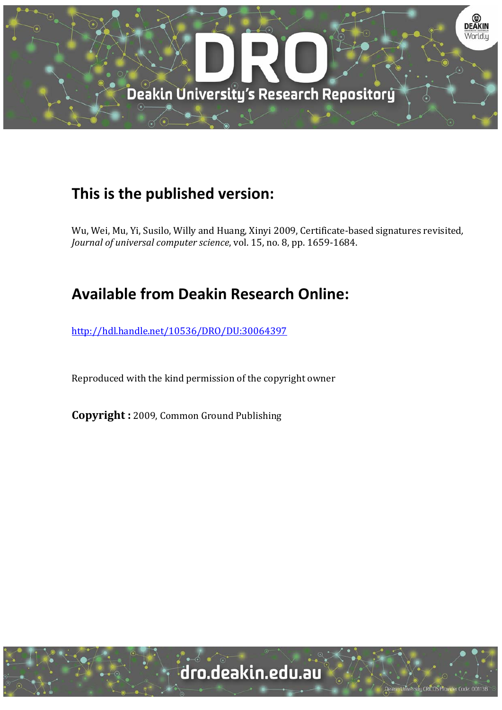

# **This is the published version:**

Wu, Wei, Mu, Yi, Susilo, Willy and Huang, Xinyi 2009, Certificate-based signatures revisited, *Journal of universal computer science*, vol. 15, no. 8, pp. 1659‐1684. 

# **Available from Deakin Research Online:**

http://hdl.handle.net/10536/DRO/DU:30064397

Reproduced with the kind permission of the copyright owner

**Copyright** : 2009, Common Ground Publishing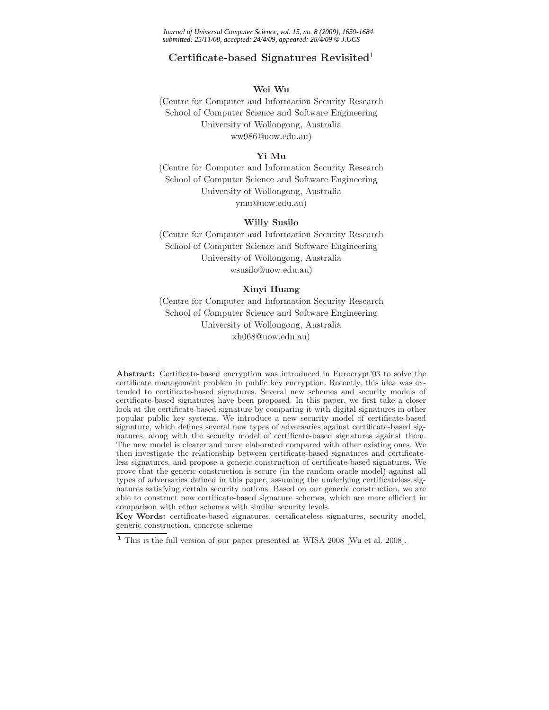*Journal of Universal Computer Science, vol. 15, no. 8 (2009), 1659-1684 submitted: 25/11/08, accepted: 24/4/09, appeared: 28/4/09* © *J.UCS*

# **Certificate-based Signatures Revisited**<sup>1</sup>

## **Wei Wu**

(Centre for Computer and Information Security Research School of Computer Science and Software Engineering University of Wollongong, Australia ww986@uow.edu.au)

## **Yi Mu**

(Centre for Computer and Information Security Research School of Computer Science and Software Engineering University of Wollongong, Australia ymu@uow.edu.au)

## **Willy Susilo**

(Centre for Computer and Information Security Research School of Computer Science and Software Engineering University of Wollongong, Australia wsusilo@uow.edu.au)

## **Xinyi Huang**

(Centre for Computer and Information Security Research School of Computer Science and Software Engineering University of Wollongong, Australia xh068@uow.edu.au)

**Abstract:** Certificate-based encryption was introduced in Eurocrypt'03 to solve the certificate management problem in public key encryption. Recently, this idea was extended to certificate-based signatures. Several new schemes and security models of certificate-based signatures have been proposed. In this paper, we first take a closer look at the certificate-based signature by comparing it with digital signatures in other popular public key systems. We introduce a new security model of certificate-based signature, which defines several new types of adversaries against certificate-based signatures, along with the security model of certificate-based signatures against them. The new model is clearer and more elaborated compared with other existing ones. We then investigate the relationship between certificate-based signatures and certificateless signatures, and propose a generic construction of certificate-based signatures. We prove that the generic construction is secure (in the random oracle model) against all types of adversaries defined in this paper, assuming the underlying certificateless signatures satisfying certain security notions. Based on our generic construction, we are able to construct new certificate-based signature schemes, which are more efficient in comparison with other schemes with similar security levels.

**Key Words:** certificate-based signatures, certificateless signatures, security model, generic construction, concrete scheme

**<sup>1</sup>** This is the full version of our paper presented at WISA 2008 [Wu et al. 2008].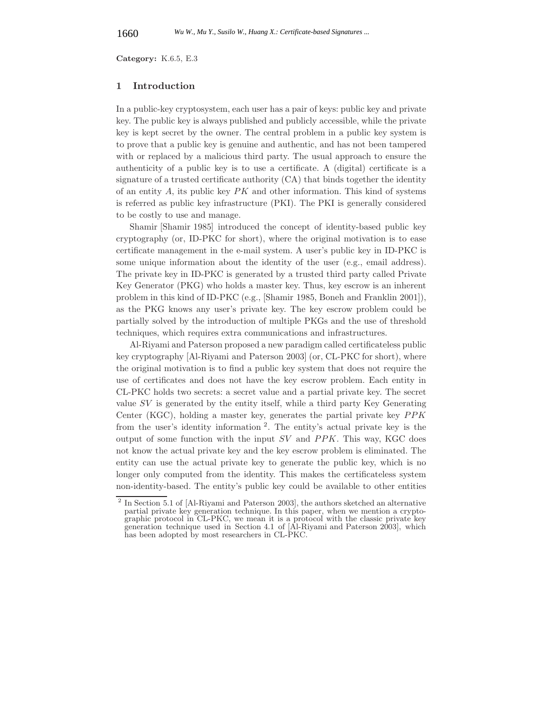**Category:** K.6.5, E.3

## **1 Introduction**

In a public-key cryptosystem, each user has a pair of keys: public key and private key. The public key is always published and publicly accessible, while the private key is kept secret by the owner. The central problem in a public key system is to prove that a public key is genuine and authentic, and has not been tampered with or replaced by a malicious third party. The usual approach to ensure the authenticity of a public key is to use a certificate. A (digital) certificate is a signature of a trusted certificate authority (CA) that binds together the identity of an entity  $A$ , its public key  $PK$  and other information. This kind of systems is referred as public key infrastructure (PKI). The PKI is generally considered to be costly to use and manage.

Shamir [Shamir 1985] introduced the concept of identity-based public key cryptography (or, ID-PKC for short), where the original motivation is to ease certificate management in the e-mail system. A user's public key in ID-PKC is some unique information about the identity of the user (e.g., email address). The private key in ID-PKC is generated by a trusted third party called Private Key Generator (PKG) who holds a master key. Thus, key escrow is an inherent problem in this kind of ID-PKC (e.g., [Shamir 1985, Boneh and Franklin 2001]), as the PKG knows any user's private key. The key escrow problem could be partially solved by the introduction of multiple PKGs and the use of threshold techniques, which requires extra communications and infrastructures.

Al-Riyami and Paterson proposed a new paradigm called certificateless public key cryptography [Al-Riyami and Paterson 2003] (or, CL-PKC for short), where the original motivation is to find a public key system that does not require the use of certificates and does not have the key escrow problem. Each entity in CL-PKC holds two secrets: a secret value and a partial private key. The secret value SV is generated by the entity itself, while a third party Key Generating Center (KGC), holding a master key, generates the partial private key PPK from the user's identity information <sup>2</sup>. The entity's actual private key is the output of some function with the input  $SV$  and  $PPK$ . This way, KGC does not know the actual private key and the key escrow problem is eliminated. The entity can use the actual private key to generate the public key, which is no longer only computed from the identity. This makes the certificateless system non-identity-based. The entity's public key could be available to other entities

<sup>2</sup> In Section 5.1 of [Al-Riyami and Paterson 2003], the authors sketched an alternative partial private key generation technique. In this paper, when we mention a cryptographic protocol in CL-PKC, we mean it is a protocol with the classic private key generation technique used in Section 4.1 of [Al-Riyami and Paterson 2003], which has been adopted by most researchers in CL-PKC.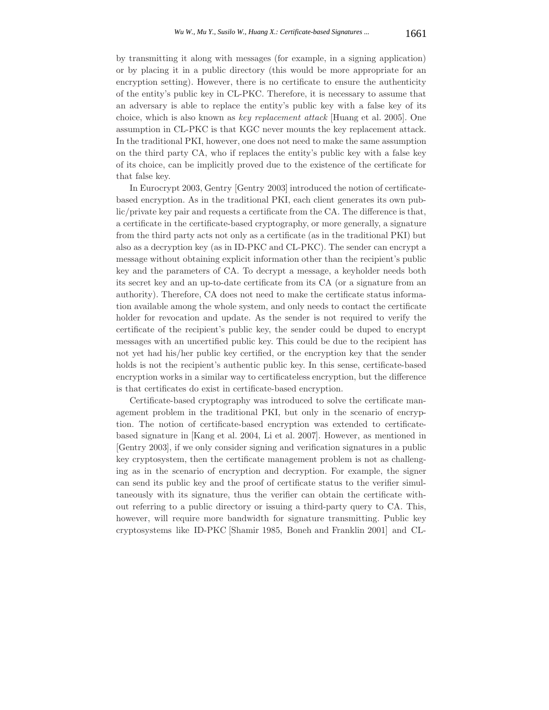by transmitting it along with messages (for example, in a signing application) or by placing it in a public directory (this would be more appropriate for an encryption setting). However, there is no certificate to ensure the authenticity of the entity's public key in CL-PKC. Therefore, it is necessary to assume that an adversary is able to replace the entity's public key with a false key of its choice, which is also known as *key replacement attack* [Huang et al. 2005]. One assumption in CL-PKC is that KGC never mounts the key replacement attack. In the traditional PKI, however, one does not need to make the same assumption on the third party CA, who if replaces the entity's public key with a false key of its choice, can be implicitly proved due to the existence of the certificate for that false key.

In Eurocrypt 2003, Gentry [Gentry 2003] introduced the notion of certificatebased encryption. As in the traditional PKI, each client generates its own public/private key pair and requests a certificate from the CA. The difference is that, a certificate in the certificate-based cryptography, or more generally, a signature from the third party acts not only as a certificate (as in the traditional PKI) but also as a decryption key (as in ID-PKC and CL-PKC). The sender can encrypt a message without obtaining explicit information other than the recipient's public key and the parameters of CA. To decrypt a message, a keyholder needs both its secret key and an up-to-date certificate from its CA (or a signature from an authority). Therefore, CA does not need to make the certificate status information available among the whole system, and only needs to contact the certificate holder for revocation and update. As the sender is not required to verify the certificate of the recipient's public key, the sender could be duped to encrypt messages with an uncertified public key. This could be due to the recipient has not yet had his/her public key certified, or the encryption key that the sender holds is not the recipient's authentic public key. In this sense, certificate-based encryption works in a similar way to certificateless encryption, but the difference is that certificates do exist in certificate-based encryption.

Certificate-based cryptography was introduced to solve the certificate management problem in the traditional PKI, but only in the scenario of encryption. The notion of certificate-based encryption was extended to certificatebased signature in [Kang et al. 2004, Li et al. 2007]. However, as mentioned in [Gentry 2003], if we only consider signing and verification signatures in a public key cryptosystem, then the certificate management problem is not as challenging as in the scenario of encryption and decryption. For example, the signer can send its public key and the proof of certificate status to the verifier simultaneously with its signature, thus the verifier can obtain the certificate without referring to a public directory or issuing a third-party query to CA. This, however, will require more bandwidth for signature transmitting. Public key cryptosystems like ID-PKC [Shamir 1985, Boneh and Franklin 2001] and CL-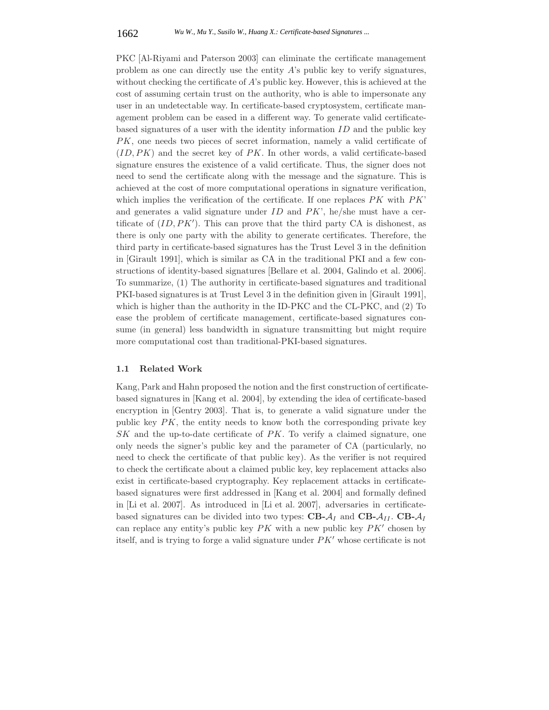PKC [Al-Riyami and Paterson 2003] can eliminate the certificate management problem as one can directly use the entity  $\hat{A}$ 's public key to verify signatures, without checking the certificate of  $A$ 's public key. However, this is achieved at the cost of assuming certain trust on the authority, who is able to impersonate any user in an undetectable way. In certificate-based cryptosystem, certificate management problem can be eased in a different way. To generate valid certificatebased signatures of a user with the identity information  $ID$  and the public key PK, one needs two pieces of secret information, namely a valid certificate of  $(ID, PK)$  and the secret key of  $PK$ . In other words, a valid certificate-based signature ensures the existence of a valid certificate. Thus, the signer does not need to send the certificate along with the message and the signature. This is achieved at the cost of more computational operations in signature verification, which implies the verification of the certificate. If one replaces  $PK$  with  $PK'$ and generates a valid signature under  $ID$  and  $PK$ , he/she must have a certificate of  $(ID, PK')$ . This can prove that the third party CA is dishonest, as there is only one party with the ability to generate certificates. Therefore, the third party in certificate-based signatures has the Trust Level 3 in the definition in [Girault 1991], which is similar as CA in the traditional PKI and a few constructions of identity-based signatures [Bellare et al. 2004, Galindo et al. 2006]. To summarize, (1) The authority in certificate-based signatures and traditional PKI-based signatures is at Trust Level 3 in the definition given in [Girault 1991], which is higher than the authority in the ID-PKC and the CL-PKC, and (2) To ease the problem of certificate management, certificate-based signatures consume (in general) less bandwidth in signature transmitting but might require more computational cost than traditional-PKI-based signatures.

## **1.1 Related Work**

Kang, Park and Hahn proposed the notion and the first construction of certificatebased signatures in [Kang et al. 2004], by extending the idea of certificate-based encryption in [Gentry 2003]. That is, to generate a valid signature under the public key  $PK$ , the entity needs to know both the corresponding private key  $SK$  and the up-to-date certificate of  $PK$ . To verify a claimed signature, one only needs the signer's public key and the parameter of CA (particularly, no need to check the certificate of that public key). As the verifier is not required to check the certificate about a claimed public key, key replacement attacks also exist in certificate-based cryptography. Key replacement attacks in certificatebased signatures were first addressed in [Kang et al. 2004] and formally defined in [Li et al. 2007]. As introduced in [Li et al. 2007], adversaries in certificatebased signatures can be divided into two types:  $CB - A_I$  and  $CB - A_{II}$ .  $CB - A_I$ can replace any entity's public key  $PK$  with a new public key  $PK'$  chosen by itself, and is trying to forge a valid signature under  $PK'$  whose certificate is not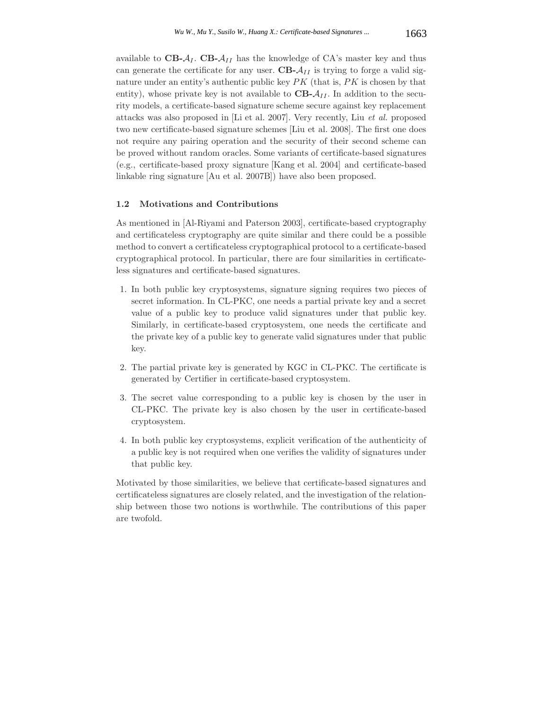available to  $CB - A_I$ .  $CB - A_{II}$  has the knowledge of CA's master key and thus can generate the certificate for any user.  $CB - A_{II}$  is trying to forge a valid signature under an entity's authentic public key  $PK$  (that is,  $PK$  is chosen by that entity), whose private key is not available to  $CB - A_{II}$ . In addition to the security models, a certificate-based signature scheme secure against key replacement attacks was also proposed in [Li et al. 2007]. Very recently, Liu *et al.* proposed two new certificate-based signature schemes [Liu et al. 2008]. The first one does not require any pairing operation and the security of their second scheme can be proved without random oracles. Some variants of certificate-based signatures (e.g., certificate-based proxy signature [Kang et al. 2004] and certificate-based linkable ring signature [Au et al. 2007B]) have also been proposed.

## **1.2 Motivations and Contributions**

As mentioned in [Al-Riyami and Paterson 2003], certificate-based cryptography and certificateless cryptography are quite similar and there could be a possible method to convert a certificateless cryptographical protocol to a certificate-based cryptographical protocol. In particular, there are four similarities in certificateless signatures and certificate-based signatures.

- 1. In both public key cryptosystems, signature signing requires two pieces of secret information. In CL-PKC, one needs a partial private key and a secret value of a public key to produce valid signatures under that public key. Similarly, in certificate-based cryptosystem, one needs the certificate and the private key of a public key to generate valid signatures under that public key.
- 2. The partial private key is generated by KGC in CL-PKC. The certificate is generated by Certifier in certificate-based cryptosystem.
- 3. The secret value corresponding to a public key is chosen by the user in CL-PKC. The private key is also chosen by the user in certificate-based cryptosystem.
- 4. In both public key cryptosystems, explicit verification of the authenticity of a public key is not required when one verifies the validity of signatures under that public key.

Motivated by those similarities, we believe that certificate-based signatures and certificateless signatures are closely related, and the investigation of the relationship between those two notions is worthwhile. The contributions of this paper are twofold.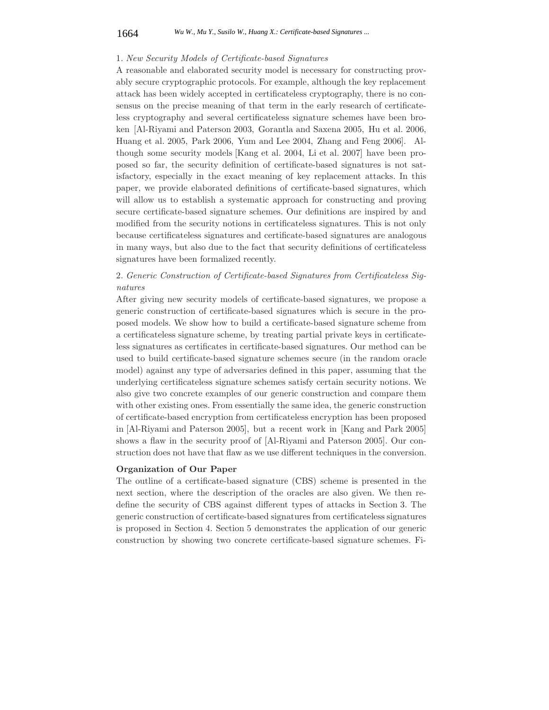#### 1664 *Wu W., Mu Y., Susilo W., Huang X.: Certificate-based Signatures ...*

#### 1. *New Security Models of Certificate-based Signatures*

A reasonable and elaborated security model is necessary for constructing provably secure cryptographic protocols. For example, although the key replacement attack has been widely accepted in certificateless cryptography, there is no consensus on the precise meaning of that term in the early research of certificateless cryptography and several certificateless signature schemes have been broken [Al-Riyami and Paterson 2003, Gorantla and Saxena 2005, Hu et al. 2006, Huang et al. 2005, Park 2006, Yum and Lee 2004, Zhang and Feng 2006]. Although some security models [Kang et al. 2004, Li et al. 2007] have been proposed so far, the security definition of certificate-based signatures is not satisfactory, especially in the exact meaning of key replacement attacks. In this paper, we provide elaborated definitions of certificate-based signatures, which will allow us to establish a systematic approach for constructing and proving secure certificate-based signature schemes. Our definitions are inspired by and modified from the security notions in certificateless signatures. This is not only because certificateless signatures and certificate-based signatures are analogous in many ways, but also due to the fact that security definitions of certificateless signatures have been formalized recently.

# 2. *Generic Construction of Certificate-based Signatures from Certificateless Signatures*

After giving new security models of certificate-based signatures, we propose a generic construction of certificate-based signatures which is secure in the proposed models. We show how to build a certificate-based signature scheme from a certificateless signature scheme, by treating partial private keys in certificateless signatures as certificates in certificate-based signatures. Our method can be used to build certificate-based signature schemes secure (in the random oracle model) against any type of adversaries defined in this paper, assuming that the underlying certificateless signature schemes satisfy certain security notions. We also give two concrete examples of our generic construction and compare them with other existing ones. From essentially the same idea, the generic construction of certificate-based encryption from certificateless encryption has been proposed in [Al-Riyami and Paterson 2005], but a recent work in [Kang and Park 2005] shows a flaw in the security proof of [Al-Riyami and Paterson 2005]. Our construction does not have that flaw as we use different techniques in the conversion.

## **Organization of Our Paper**

The outline of a certificate-based signature (CBS) scheme is presented in the next section, where the description of the oracles are also given. We then redefine the security of CBS against different types of attacks in Section 3. The generic construction of certificate-based signatures from certificateless signatures is proposed in Section 4. Section 5 demonstrates the application of our generic construction by showing two concrete certificate-based signature schemes. Fi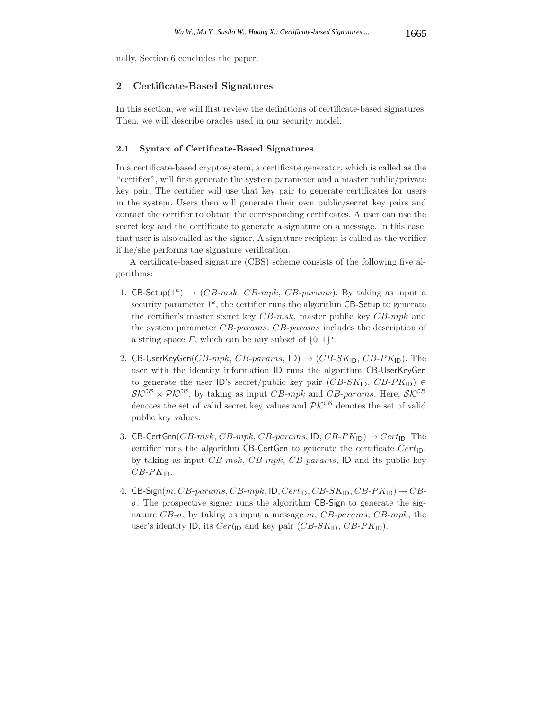nally, Section 6 concludes the paper.

## **2 Certificate-Based Signatures**

In this section, we will first review the definitions of certificate-based signatures. Then, we will describe oracles used in our security model.

## **2.1 Syntax of Certificate-Based Signatures**

In a certificate-based cryptosystem, a certificate generator, which is called as the "certifier", will first generate the system parameter and a master public/private key pair. The certifier will use that key pair to generate certificates for users in the system. Users then will generate their own public/secret key pairs and contact the certifier to obtain the corresponding certificates. A user can use the secret key and the certificate to generate a signature on a message. In this case, that user is also called as the signer. A signature recipient is called as the verifier if he/she performs the signature verification.

A certificate-based signature (CBS) scheme consists of the following five algorithms:

- 1. CB-Setup( $1^k$ )  $\rightarrow$  (*CB-msk, CB-mpk, CB-params*). By taking as input a security parameter  $1^k$ , the certifier runs the algorithm CB-Setup to generate the certifier's master secret key CB-msk, master public key CB-mpk and the system parameter CB-params. CB-params includes the description of a string space  $\Gamma$ , which can be any subset of  $\{0,1\}^*$ .
- 2. CB-UserKeyGen( $CB\text{-}mpk$ ,  $CB\text{-}params$ , ID)  $\rightarrow (CB\text{-}SK_{\mathsf{ID}}, CB\text{-}PK_{\mathsf{ID}})$ . The user with the identity information ID runs the algorithm CB-UserKeyGen to generate the user ID's secret/public key pair  $(CB-SK_{\text{ID}}, CB-PK_{\text{ID}}) \in$  $\mathcal{SK}^{\mathcal{CB}} \times \mathcal{PK}^{\mathcal{CB}}$ , by taking as input CB-mpk and CB-params. Here,  $\mathcal{SK}^{\mathcal{CB}}$ denotes the set of valid secret key values and  $\mathcal{P}\mathcal{K}^{\mathcal{CB}}$  denotes the set of valid public key values.
- 3. CB-CertGen( $CB\text{-}msk$ ,  $CB\text{-}mpk$ ,  $CB\text{-}params$ , ID,  $CB\text{-}PK_{\text{ID}}$ )  $\rightarrow Cert_{\text{ID}}$ . The certifier runs the algorithm CB-CertGen to generate the certificate  $Cert_{\mathsf{ID}}$ , by taking as input  $CB\text{-}msk$ ,  $CB\text{-}mpk$ ,  $CB\text{-}params$ , ID and its public key  $CB$ - $PK$ <sub>ID</sub>.
- 4. CB-Sign(m, CB-params, CB-mpk, ID, Cert<sub>ID</sub>, CB-SK<sub>ID</sub>, CB-PK<sub>ID</sub>)  $\rightarrow$  CB- $\sigma$ . The prospective signer runs the algorithm CB-Sign to generate the signature  $CB-\sigma$ , by taking as input a message m, CB-params, CB-mpk, the user's identity ID, its  $Cert_{\text{ID}}$  and key pair  $(CB-SK_{\text{ID}}, CB-PK_{\text{ID}})$ .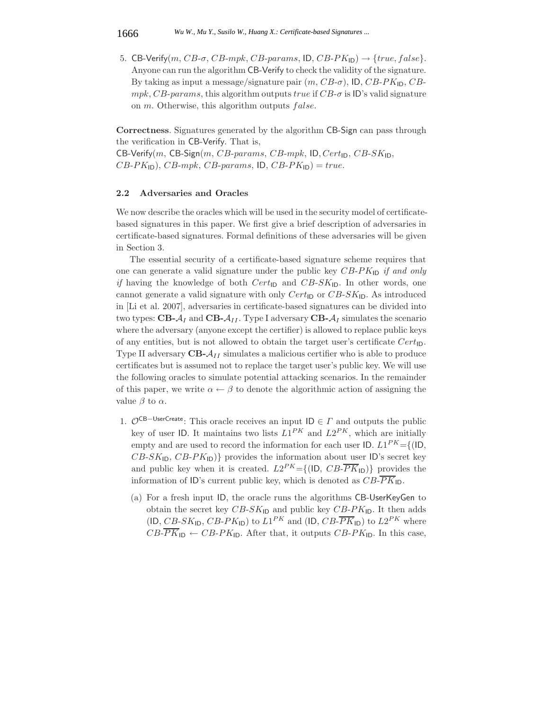5. CB-Verify(m,  $CB$ - $\sigma$ ,  $CB$ -mpk,  $CB$ -params, ID,  $CB$ -P $K_{\text{ID}}$ )  $\rightarrow$  {true, false}. Anyone can run the algorithm CB-Verify to check the validity of the signature. By taking as input a message/signature pair  $(m, CB\text{-}\sigma)$ , ID,  $CB\text{-}PK$ <sub>ID</sub>,  $CB\text{-}PK$  $mpk, CB\text{-}params$ , this algorithm outputs  $true$  if  $CB\text{-}sigma$  is ID's valid signature on  $m$ . Otherwise, this algorithm outputs  $false$ .

**Correctness**. Signatures generated by the algorithm CB-Sign can pass through the verification in CB-Verify. That is,

CB-Verify(m, CB-Sign(m, CB-params, CB-mpk, ID, Cert<sub>ID</sub>, CB-SK<sub>ID</sub>,  $CB-PK_{\text{ID}}$ ,  $CB-mpk$ ,  $CB-params$ ,  $\text{ID}, CB-PK_{\text{ID}}$  = true.

#### **2.2 Adversaries and Oracles**

We now describe the oracles which will be used in the security model of certificatebased signatures in this paper. We first give a brief description of adversaries in certificate-based signatures. Formal definitions of these adversaries will be given in Section 3.

The essential security of a certificate-based signature scheme requires that one can generate a valid signature under the public key  $CB-PK_{\text{ID}}$  *if and only if* having the knowledge of both  $Cert_{\text{ID}}$  and  $CB-SK_{\text{ID}}$ . In other words, one cannot generate a valid signature with only  $Cert_{\text{ID}}$  or  $CB-SK_{\text{ID}}$ . As introduced in [Li et al. 2007], adversaries in certificate-based signatures can be divided into two types:  $\text{CB-}A_I$  and  $\text{CB-}A_{II}$ . Type I adversary  $\text{CB-}A_I$  simulates the scenario where the adversary (anyone except the certifier) is allowed to replace public keys of any entities, but is not allowed to obtain the target user's certificate  $Cert_{ID}$ . Type II adversary **CB-**A*II* simulates a malicious certifier who is able to produce certificates but is assumed not to replace the target user's public key. We will use the following oracles to simulate potential attacking scenarios. In the remainder of this paper, we write  $\alpha \leftarrow \beta$  to denote the algorithmic action of assigning the value  $\beta$  to  $\alpha$ .

- 1.  $\mathcal{O}^{CB-UserCreate}$ : This oracle receives an input ID ∈  $\Gamma$  and outputs the public key of user ID. It maintains two lists  $L1^{PK}$  and  $L2^{PK}$ , which are initially empty and are used to record the information for each user ID.  $L1^{PK} = \{ (ID, E1^{PK}) \}$  $CB-SK_{\text{ID}}, CB-PK_{\text{ID}}$ } provides the information about user ID's secret key and public key when it is created.  $L2^{PK} = \{ (ID, CB\overline{PK}_{ID}) \}$  provides the information of ID's current public key, which is denoted as  $CB\overline{PK}_{\text{ID}}$ .
	- (a) For a fresh input ID, the oracle runs the algorithms CB-UserKeyGen to obtain the secret key  $CB-SK_{\text{ID}}$  and public key  $CB-PK_{\text{ID}}$ . It then adds  $(ID, CB-SK<sub>ID</sub>, CB-PK<sub>ID</sub>)$  to  $L1^{PK}$  and  $(ID, CB-\overline{PK}_{ID})$  to  $L2^{PK}$  where  $CB\text{-}PK}_{\mathsf{ID}} \leftarrow CB\text{-}PK}_{\mathsf{ID}}$ . After that, it outputs  $CB\text{-}PK}_{\mathsf{ID}}$ . In this case,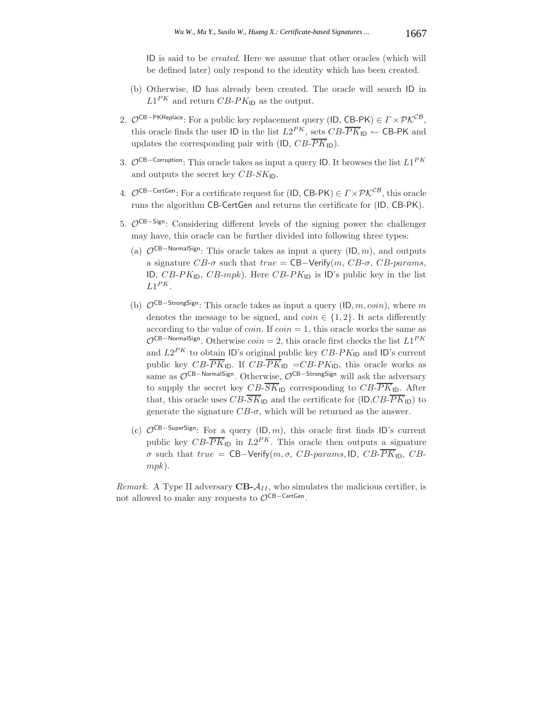ID is said to be *created*. Here we assume that other oracles (which will be defined later) only respond to the identity which has been created.

- (b) Otherwise, ID has already been created. The oracle will search ID in  $L1^{PK}$  and return CB-PK<sub>ID</sub> as the output.
- 2.  $\mathcal{O}^{CB-PKReplace}$ : For a public key replacement query (ID, CB-PK)  $\in \Gamma \times \mathcal{P} \mathcal{K}^{CB}$ , this oracle finds the user ID in the list  $L2^{PK}$ , sets  $CB\overline{PK}_{1D} \leftarrow$  CB-PK and updates the corresponding pair with (ID,  $CB\overline{PK}_{\text{ID}}$ ).
- 3. <sup>O</sup>CB−Corruption: This oracle takes as input a query ID. It browses the list <sup>L</sup>1*PK* and outputs the secret key  $CB-SK_{\text{ID}}$ .
- 4.  $\mathcal{O}^{CB-Center}$ : For a certificate request for (ID, CB-PK)  $\in \Gamma \times \mathcal{P} \mathcal{K}^{CB}$ , this oracle runs the algorithm CB-CertGen and returns the certificate for (ID, CB-PK).
- 5. O<sup>CB−Sign</sup>: Considering different levels of the signing power the challenger may have, this oracle can be further divided into following three types:
	- (a)  $\mathcal{O}^{CB-NormalSign}$ : This oracle takes as input a query (ID, m), and outputs a signature  $CB$ - $\sigma$  such that true = CB-Verify(m, CB- $\sigma$ , CB-params, ID,  $CB-PK_{\text{ID}}$ ,  $CB-mpk$ ). Here  $CB-PK_{\text{ID}}$  is ID's public key in the list  $L1^{PK}$ .
	- (b)  $\mathcal{O}^{CB-StrongSign}$ : This oracle takes as input a query (ID,  $m, coin$ ), where m denotes the message to be signed, and  $coin \in \{1, 2\}$ . It acts differently according to the value of *coin*. If  $coin = 1$ , this oracle works the same as  $\mathcal{O}^{\mathsf{CB}-\mathsf{NormalSign}}$ . Otherwise  $coin = 2$ , this oracle first checks the list  $L1^{PK}$ and  $L2^{PK}$  to obtain ID's original public key  $CB-PK_{\text{ID}}$  and ID's current public key  $CB$ - $\overline{PK}_{\text{ID}}$ . If  $CB$ - $\overline{PK}_{\text{ID}}$  = $CB$ - $PK_{\text{ID}}$ , this oracle works as same as O<sup>CB-NormalSign</sup>. Otherwise, O<sup>CB-StrongSign</sup> will ask the adversary to supply the secret key  $CB\overline{SK}_{\mathsf{ID}}$  corresponding to  $CB\overline{PK}_{\mathsf{ID}}$ . After that, this oracle uses  $CB\overline{SK}_{\mathsf{ID}}$  and the certificate for  $(\mathsf{ID}, CB\overline{PK}_{\mathsf{ID}})$  to generate the signature  $CB$ - $\sigma$ , which will be returned as the answer.
	- (c)  $\mathcal{O}^{CB-SuperSign}$ : For a query (ID, m), this oracle first finds ID's current public key  $CB\overline{PK}_{\text{ID}}$  in  $L2^{PK}$ . This oracle then outputs a signature σ such that true = CB-Verify(m, σ, CB-params, ID, CB- $\overline{PK}_{\text{ID}}$ , CBmpk).

*Remark.* A Type II adversary  $CB - A_{II}$ , who simulates the malicious certifier, is not allowed to make any requests to  $\mathcal{O}^{CB-CertGen}$ .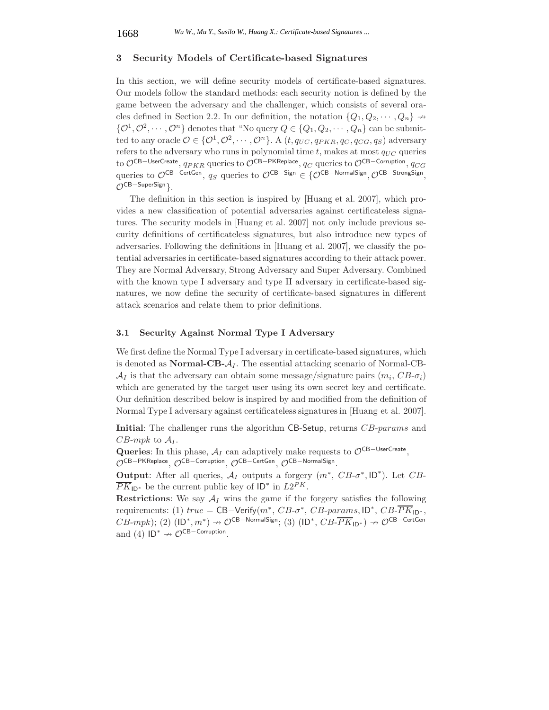## **3 Security Models of Certificate-based Signatures**

In this section, we will define security models of certificate-based signatures. Our models follow the standard methods: each security notion is defined by the game between the adversary and the challenger, which consists of several oracles defined in Section 2.2. In our definition, the notation  ${Q_1, Q_2, \cdots, Q_n} \rightarrow$  $\{0^1, 0^2, \cdots, 0^n\}$  denotes that "No query  $Q \in \{Q_1, Q_2, \cdots, Q_n\}$  can be submitted to any oracle  $\mathcal{O} \in \{ \mathcal{O}^1, \mathcal{O}^2, \cdots, \mathcal{O}^n \}$ . A  $(t, q_{UC}, q_{PKR}, q_C, q_{CG}, q_S)$  adversary refers to the adversary who runs in polynomial time  $t$ , makes at most  $q_{UC}$  queries to OCB−UserCreate, q*PKR* queries to OCB−PKReplace, q*<sup>C</sup>* queries to OCB−Corruption, q*CG* queries to OCB−CertGen, q<sub>S</sub> queries to OCB−Sign ∈ {OCB−NormalSign, OCB−StrongSign, (OCB-SuperSign).

The definition in this section is inspired by [Huang et al. 2007], which provides a new classification of potential adversaries against certificateless signatures. The security models in [Huang et al. 2007] not only include previous security definitions of certificateless signatures, but also introduce new types of adversaries. Following the definitions in [Huang et al. 2007], we classify the potential adversaries in certificate-based signatures according to their attack power. They are Normal Adversary, Strong Adversary and Super Adversary. Combined with the known type I adversary and type II adversary in certificate-based signatures, we now define the security of certificate-based signatures in different attack scenarios and relate them to prior definitions.

#### **3.1 Security Against Normal Type I Adversary**

We first define the Normal Type I adversary in certificate-based signatures, which is denoted as **Normal-CB-** $A_I$ . The essential attacking scenario of Normal-CB- $\mathcal{A}_I$  is that the adversary can obtain some message/signature pairs  $(m_i, CB\text{-} \sigma_i)$ which are generated by the target user using its own secret key and certificate. Our definition described below is inspired by and modified from the definition of Normal Type I adversary against certificateless signatures in [Huang et al. 2007].

**Initial:** The challenger runs the algorithm CB-Setup, returns CB-params and  $CB$ -mpk to  $A_I$ .

**Queries**: In this phase,  $A_I$  can adaptively make requests to  $\mathcal{O}^{\text{CB}-\text{UserCreate}}$ . OCB−PKReplace, OCB−Corruption, OCB−CertGen, OCB−NormalSign.

**Output:** After all queries,  $A_I$  outputs a forgery  $(m^*, CB\text{-}\sigma^*, ID^*)$ . Let  $CB\text{-}$  $PK_{ID*}$  be the current public key of  $ID*$  in  $L2^{PK}$ .

**Restrictions:** We say  $A_I$  wins the game if the forgery satisfies the following requirements: (1)  $true = \text{CB-Verify}(m^*, CB\text{-}\sigma^*, CB\text{-}params, \text{ID}^*, CB\text{-}PK\text{-}pv^*,$  $CB\text{-}mpk$ ); (2)  $(\mathsf{ID}^*, m^*) \to \mathcal{O}^{\mathsf{CB-NormalSign}}$ ; (3)  $(\mathsf{ID}^*, CB\text{-}\overline{PK}_{\mathsf{ID}^*}) \to \mathcal{O}^{\mathsf{CB-CertGen}}$ and (4)  $ID^* \nrightarrow \mathcal{O}^{CB-Corruption}$ .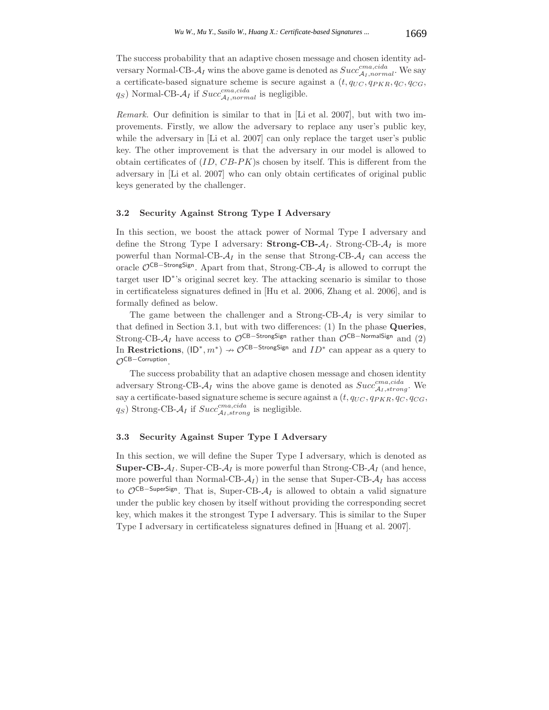The success probability that an adaptive chosen message and chosen identity adversary Normal-CB- $A_I$  wins the above game is denoted as  $Succ^{cma, cida}_{A_I,normal}$ . We say a certificate-based signature scheme is secure against a  $(t, q_{UC}, q_{PKR}, q_C, q_{CG},$  $q_S$ ) Normal-CB- $A_I$  if  $Succ^{cma, cida}_{A_I,normal}$  is negligible.

*Remark.* Our definition is similar to that in [Li et al. 2007], but with two improvements. Firstly, we allow the adversary to replace any user's public key, while the adversary in [Li et al. 2007] can only replace the target user's public key. The other improvement is that the adversary in our model is allowed to obtain certificates of  $(ID, CB-PK)$ s chosen by itself. This is different from the adversary in [Li et al. 2007] who can only obtain certificates of original public keys generated by the challenger.

# **3.2 Security Against Strong Type I Adversary**

In this section, we boost the attack power of Normal Type I adversary and define the Strong Type I adversary: **Strong-CB-** $A_I$ . Strong-CB- $A_I$  is more powerful than Normal-CB- $A_I$  in the sense that Strong-CB- $A_I$  can access the oracle OCB−StrongSign. Apart from that, Strong-CB-A*<sup>I</sup>* is allowed to corrupt the target user ID<sup>∗</sup>'s original secret key. The attacking scenario is similar to those in certificateless signatures defined in [Hu et al. 2006, Zhang et al. 2006], and is formally defined as below.

The game between the challenger and a Strong-CB- $A_I$  is very similar to that defined in Section 3.1, but with two differences: (1) In the phase **Queries**, Strong-CB- $A_I$  have access to  $\mathcal{O}^{CB-StrongSign}$  rather than  $\mathcal{O}^{CB-NormalSign}$  and (2) In **Restrictions**,  $(\mathsf{ID}^*, m^*) \to \mathcal{O}^{\mathsf{CB-StrongSign}}$  and  $ID^*$  can appear as a query to  $\mathcal{O}^{\mathsf{CB-Corrution}}$ OCB-Corruption.

The success probability that an adaptive chosen message and chosen identity adversary Strong-CB- $A_I$  wins the above game is denoted as  $Succ^{cma,cida}_{A_I,strong}$ . We say a certificate-based signature scheme is secure against a  $(t, q_{UC}, q_{PKR}, q_C, q_{CG},$  $q_S$ ) Strong-CB- $A_I$  if  $Succ^{cma, cida}_{A_I, strong}$  is negligible.

#### **3.3 Security Against Super Type I Adversary**

In this section, we will define the Super Type I adversary, which is denoted as **Super-CB-** $A_I$ . Super-CB- $A_I$  is more powerful than Strong-CB- $A_I$  (and hence, more powerful than Normal-CB- $A_I$ ) in the sense that Super-CB- $A_I$  has access to  $\mathcal{O}^{CB-SuperSign}$ . That is, Super-CB- $\mathcal{A}_I$  is allowed to obtain a valid signature under the public key chosen by itself without providing the corresponding secret key, which makes it the strongest Type I adversary. This is similar to the Super Type I adversary in certificateless signatures defined in [Huang et al. 2007].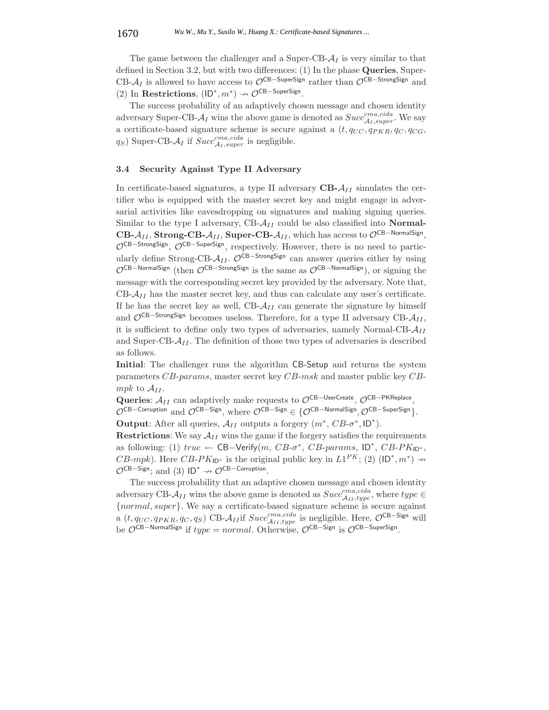The game between the challenger and a Super-CB- $A<sub>I</sub>$  is very similar to that defined in Section 3.2, but with two differences: (1) In the phase **Queries**, Super-CB- $A_I$  is allowed to have access to  $\mathcal{O}^{CB-SuperSign}$  rather than  $\mathcal{O}^{CB-StrongSign}$  and (2) In **Restrictions**,  $(\mathsf{ID}^*, m^*) \nrightarrow \mathcal{O}^{\mathsf{CB-SuperSign}}$ .<br>The guesses probability of an adoptively chosen

The success probability of an adaptively chosen message and chosen identity adversary Super-CB- $A_I$  wins the above game is denoted as  $Succ^{cma, cida}_{A_I, super}$ . We say a certificate-based signature scheme is secure against a  $(t, q_{UC}, q_{PKR}, q_C, q_{CG},$  $q_S$ ) Super-CB- $A_I$  if  $Succ^{cma,cida}_{A_I,super}$  is negligible.

#### **3.4 Security Against Type II Adversary**

In certificate-based signatures, a type II adversary  $\text{CB-}\mathcal{A}_{II}$  simulates the certifier who is equipped with the master secret key and might engage in adversarial activities like eavesdropping on signatures and making signing queries. Similar to the type I adversary, CB- $A_{II}$  could be also classified into **Normal-**CB- $A_{II}$ , **Strong-CB-** $A_{II}$ , **Super-CB-** $A_{II}$ , which has access to  $\mathcal{O}^{\text{CB-NormalSign}}$ ,  $\mathcal{O}^{CB-StrongSign}$ ,  $\mathcal{O}^{CB-Supersign}$ , respectively. However, there is no need to particularly define Strong-CB-A<sub>II</sub>. O<sup>CB–StrongSign</sup> can answer queries either by using  $\mathcal{O}^{\text{CB-NormalSign}}$  (then  $\mathcal{O}^{\text{CB-StrongSign}}$  is the same as  $\mathcal{O}^{\text{CB-NormalSign}}$ ), or signing the message with the corresponding secret key provided by the adversary. Note that,  $CB - A_{II}$  has the master secret key, and thus can calculate any user's certificate. If he has the secret key as well,  $CB - A_{II}$  can generate the signature by himself and OCB−StrongSign becomes useless. Therefore, for a type II adversary CB-A*II* , it is sufficient to define only two types of adversaries, namely Normal-CB-A*II* and Super-CB- $A_{II}$ . The definition of those two types of adversaries is described as follows.

**Initial**: The challenger runs the algorithm CB-Setup and returns the system parameters CB-params, master secret key CB-msk and master public key CBmpk to  $A_{II}$ .

Queries:  $A_{II}$  can adaptively make requests to  $\mathcal{O}^{\text{CB}-\text{UserCreate}}$ ,  $\mathcal{O}^{\text{CB}-\text{PKReplace}}$ . OCB–Corruption and OCB–Sign, where OCB–Sign ∈ {OCB–NormalSign, OCB–SuperSign}.

**Output**: After all queries,  $\mathcal{A}_{II}$  outputs a forgery  $(m^*, CB\text{-}\sigma^*, ID^*).$ 

**Restrictions:** We say  $A_{II}$  wins the game if the forgery satisfies the requirements as following: (1)  $true \leftarrow \text{CB-Verify}(m, CB\text{-}\sigma^*, CB\text{-}params, \text{ID}^*, CB\text{-}PK\text{ID}^*,$ CB-mpk). Here  $CB-PK_{\text{ID}^*}$  is the original public key in  $L1^{PK}$ ; (2)  $(\text{ID}^*, m^*) \rightarrow \text{OCB-Sirn. and } (2) \text{ ID}^*$  of  $\text{OE}$ -Corruption  $\mathcal{O}^{CB-Sign}$ ; and (3) ID<sup>\*</sup>  $\rightarrow \mathcal{O}^{CB-Corruption}$ .<br>The success probability that an adapt

The success probability that an adaptive chosen message and chosen identity adversary CB- $A_{II}$  wins the above game is denoted as  $Succ^{cma, cida}_{A_{II}, type}$ , where  $type \in$ {normal, super}. We say a certificate-based signature scheme is secure against a  $(t, q_{UC}, q_{PKR}, q_C, q_S)$  CB- $\mathcal{A}_{II}$  if  $Succ^{cma, cida}_{\mathcal{A}_{II}, type}$  is negligible. Here,  $\mathcal{O}^{\text{CB-Sign}}$  will be  $\mathcal{O}^{CB-NormalSign}$  if  $type = normal$ . Otherwise,  $\mathcal{O}^{CB-Sign}$  is  $\mathcal{O}^{CB-SuperSign}$ .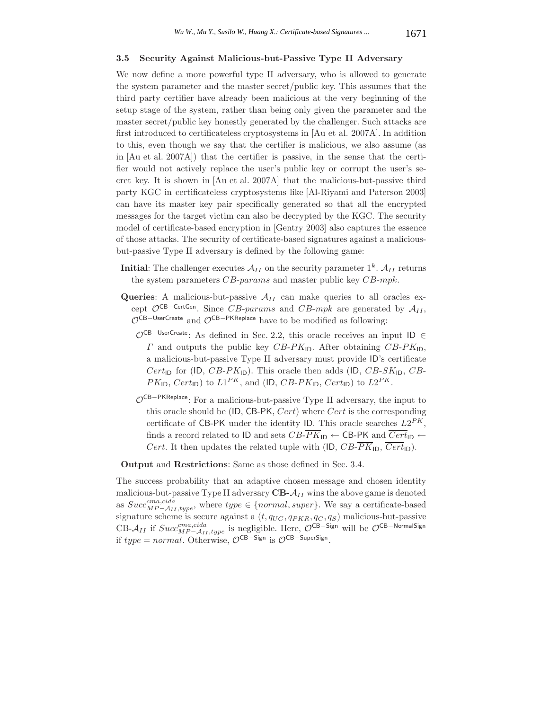#### **3.5 Security Against Malicious-but-Passive Type II Adversary**

We now define a more powerful type II adversary, who is allowed to generate the system parameter and the master secret/public key. This assumes that the third party certifier have already been malicious at the very beginning of the setup stage of the system, rather than being only given the parameter and the master secret/public key honestly generated by the challenger. Such attacks are first introduced to certificateless cryptosystems in [Au et al. 2007A]. In addition to this, even though we say that the certifier is malicious, we also assume (as in [Au et al. 2007A]) that the certifier is passive, in the sense that the certifier would not actively replace the user's public key or corrupt the user's secret key. It is shown in [Au et al. 2007A] that the malicious-but-passive third party KGC in certificateless cryptosystems like [Al-Riyami and Paterson 2003] can have its master key pair specifically generated so that all the encrypted messages for the target victim can also be decrypted by the KGC. The security model of certificate-based encryption in [Gentry 2003] also captures the essence of those attacks. The security of certificate-based signatures against a maliciousbut-passive Type II adversary is defined by the following game:

- **Initial**: The challenger executes  $\mathcal{A}_{II}$  on the security parameter  $1^k$ .  $\mathcal{A}_{II}$  returns the system parameters  $CB$ -params and master public key  $CB$ -mpk.
- **Queries**: A malicious-but-passive  $A_{II}$  can make queries to all oracles except  $\mathcal{O}^{CB-CertGen}$ . Since CB-params and CB-mpk are generated by  $\mathcal{A}_{II}$ ,  $\mathcal{O}^{\text{CB-UserCreate}}$  and  $\mathcal{O}^{\text{CB-PKReplace}}$  have to be modified as following:
	- <sup>O</sup>CB−UserCreate: As defined in Sec. 2.2, this oracle receives an input ID <sup>∈</sup>  $\Gamma$  and outputs the public key  $CB-PK_{\text{ID}}$ . After obtaining  $CB-PK_{\text{ID}}$ , a malicious-but-passive Type II adversary must provide ID's certificate  $Cert_{\text{ID}}$  for (ID,  $CB-PK_{\text{ID}}$ ). This oracle then adds (ID,  $CB-SK_{\text{ID}}$ ,  $CB$ - $PK_{\text{ID}}$ ,  $Cert_{\text{ID}}$ ) to  $L1^{PK}$ , and (ID,  $CB-PK_{\text{ID}}$ ,  $Cert_{\text{ID}}$ ) to  $L2^{PK}$ .
	- OCB−PKReplace: For a malicious-but-passive Type II adversary, the input to this oracle should be  $(ID, CB-PK, Cert)$  where  $Cert$  is the corresponding certificate of CB-PK under the identity ID. This oracle searches  $L2^{PK}$ , finds a record related to ID and sets  $CB$ - $\overline{PK}_{\text{ID}} \leftarrow$  CB-PK and  $\overline{Cert}_{\text{ID}} \leftarrow$ Cert. It then updates the related tuple with (ID,  $CB\overline{PK}_{\text{ID}}$ ,  $\overline{Cert}_{\text{ID}}$ ).

**Output** and **Restrictions**: Same as those defined in Sec. 3.4.

The success probability that an adaptive chosen message and chosen identity malicious-but-passive Type II adversary  $CB - A_{II}$  wins the above game is denoted as  $Succ^{cma, cida}_{MP-\mathcal{A}_{II}, type}$ , where  $type \in \{normal, super\}$ . We say a certificate-based signature scheme is secure against a (t, q*UC* , q*PKR*, q*<sup>C</sup>* , q*S*) malicious-but-passive CB- $A_{II}$  if  $Succ^{cma, cida}_{MP-A_{II}, type}$  is negligible. Here,  $\mathcal{O}^{CB-Sign}$  will be  $\mathcal{O}^{CB-NormalSign}$ if  $type = normal$ . Otherwise,  $\mathcal{O}^{CB-Sign}$  is  $\mathcal{O}^{CB-SuperSign}$ .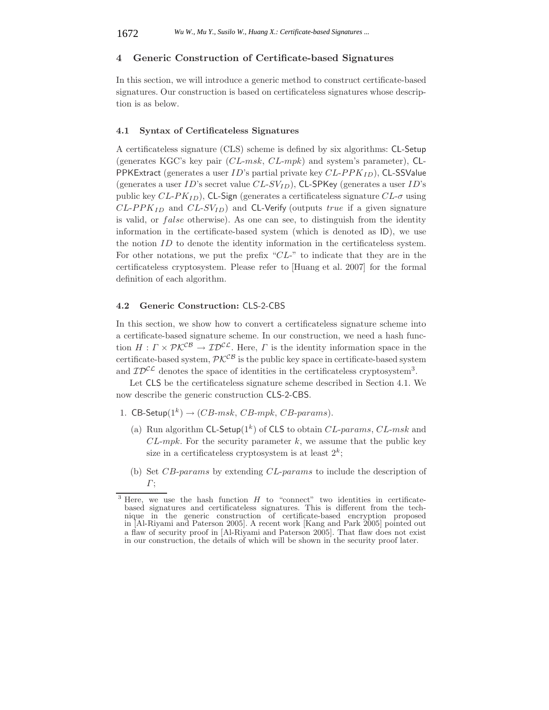### **4 Generic Construction of Certificate-based Signatures**

In this section, we will introduce a generic method to construct certificate-based signatures. Our construction is based on certificateless signatures whose description is as below.

# **4.1 Syntax of Certificateless Signatures**

A certificateless signature (CLS) scheme is defined by six algorithms: CL-Setup (generates KGC's key pair  $(CL-msk, CL-mpk)$  and system's parameter), CL-PPKExtract (generates a user ID's partial private key CL-PPK*ID*), CL-SSValue (generates a user ID's secret value CL-SV*ID*), CL-SPKey (generates a user ID's public key  $CL-PK_{ID}$ ), CL-Sign (generates a certificateless signature  $CL-\sigma$  using CL-PPK*ID* and CL-SV*ID*) and CL-Verify (outputs true if a given signature is valid, or  $false$  otherwise). As one can see, to distinguish from the identity information in the certificate-based system (which is denoted as ID), we use the notion ID to denote the identity information in the certificateless system. For other notations, we put the prefix "CL-" to indicate that they are in the certificateless cryptosystem. Please refer to [Huang et al. 2007] for the formal definition of each algorithm.

## **4.2 Generic Construction:** CLS-2-CBS

In this section, we show how to convert a certificateless signature scheme into a certificate-based signature scheme. In our construction, we need a hash function  $H: \Gamma \times \mathcal{P} \mathcal{K}^{\mathcal{C} \mathcal{B}} \to \mathcal{I} \mathcal{D}^{\mathcal{C} \mathcal{L}}$ . Here,  $\Gamma$  is the identity information space in the certificate-based system,  $\mathcal{P}\mathcal{K}^{\mathcal{C}\mathcal{B}}$  is the public key space in certificate-based system and  $ID^{CL}$  denotes the space of identities in the certificateless cryptosystem<sup>3</sup>.

Let CLS be the certificateless signature scheme described in Section 4.1. We now describe the generic construction CLS-2-CBS.

- 1. CB-Setup $(1^k) \rightarrow (CB\text{-}msk, CB\text{-}mpk, CB\text{-}params).$ 
	- (a) Run algorithm CL-Setup( $1^k$ ) of CLS to obtain CL-params, CL-msk and  $CL-mpk$ . For the security parameter k, we assume that the public key size in a certificateless cryptosystem is at least  $2^k$ ;
	- (b) Set CB-params by extending CL-params to include the description of  $\Gamma$ ;

Here, we use the hash function  $H$  to "connect" two identities in certificatebased signatures and certificateless signatures. This is different from the technique in the generic construction of certificate-based encryption proposed in [Al-Riyami and Paterson 2005]. A recent work [Kang and Park 2005] pointed out a flaw of security proof in [Al-Riyami and Paterson 2005]. That flaw does not exist in our construction, the details of which will be shown in the security proof later.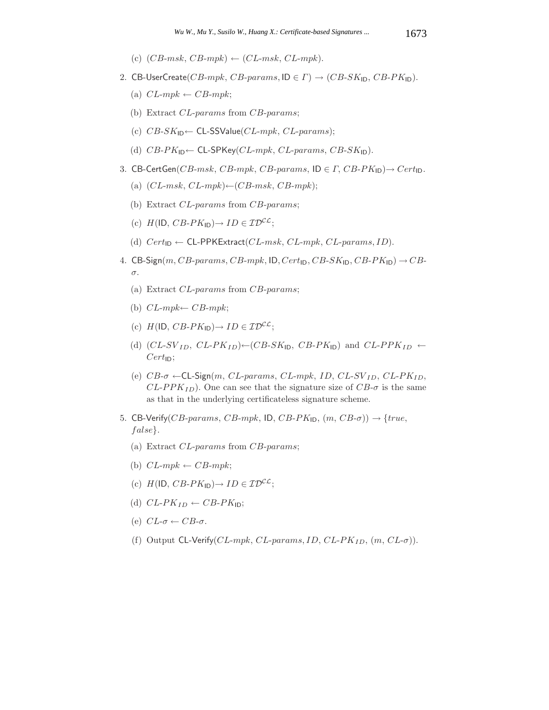- (c)  $(CB\text{-}msk, CB\text{-}mpk) \leftarrow (CL\text{-}msk, CL\text{-}mpk).$
- 2. CB-UserCreate(CB-mpk, CB-params,  $ID \in \Gamma$ )  $\rightarrow$  (CB-SK<sub>ID</sub>, CB-PK<sub>ID</sub>).
	- (a)  $CL\text{-}mpk \leftarrow CB\text{-}mpk$ ;
	- (b) Extract CL-params from CB-params;
	- (c)  $CB-SK_{\text{ID}} \leftarrow \text{CL-SSValue}(CL-mpk, CL-params);$
	- (d)  $CB-PK_{ID} \leftarrow CL-SPKey(CL-mpk, CL-params, CB-SK_{ID}).$
- 3. CB-CertGen(CB-msk, CB-mpk, CB-params,  $ID \in \Gamma$ , CB-P $K_{ID}$ )  $\rightarrow$  Cert<sub>ID</sub>.
	- (a)  $(CL-msk, CL-mpk) \leftarrow (CB-msk, CB-mpk);$
	- (b) Extract CL-params from CB-params;
	- (c)  $H(\mathsf{ID}, CB\text{-}PK_{\mathsf{ID}}) \rightarrow ID \in \mathcal{ID}^{CL};$
	- (d)  $Cert_{ID} \leftarrow \text{CL-PPKExtract}(CL-msk, CL-mpk, CL-params, ID).$
- 4. CB-Sign(m, CB-params, CB-mpk, ID, Cert<sub>ID</sub>, CB-SK<sub>ID</sub>, CB-PK<sub>ID</sub>)  $\rightarrow$  CBσ.
	- (a) Extract CL-params from CB-params;
	- (b)  $CL\text{-}mpk \leftarrow CB\text{-}mpk$ ;
	- (c)  $H(\mathsf{ID}, CB\text{-}PK_{\mathsf{ID}}) \rightarrow ID \in \mathcal{ID}^{\mathcal{CL}};$
	- (d)  $(CL-SV_{ID}, CL-PK_{ID}) \leftarrow (CB-SK_{ID}, CB-PK_{ID})$  and  $CL-PPK_{ID} \leftarrow$  $Cert_{ID};$
	- (e) CB-<sup>σ</sup> <sup>←</sup>CL-Sign(m, CL-params, CL-mpk, ID, CL-SV *ID*, CL-PK*ID*,  $CL-PPK_{ID}$ ). One can see that the signature size of  $CB-\sigma$  is the same as that in the underlying certificateless signature scheme.
- 5. CB-Verify(CB-params, CB-mpk, ID, CB-P $K_{\text{ID}}$ ,  $(m, CB\text{-}\sigma)$ )  $\rightarrow$  {true, f alse}.
	- (a) Extract CL-params from CB-params;
	- (b)  $CL\text{-}mpk \leftarrow CB\text{-}mpk$ ;
	- (c)  $H(\mathsf{ID}, CB\text{-}PK_{\mathsf{ID}}) \rightarrow ID \in \mathcal{ID}^{\mathcal{CL}};$
	- (d)  $CL-PK_{ID} \leftarrow CB-PK_{ID};$
	- (e)  $CL$ - $\sigma \leftarrow CB$ - $\sigma$ .
	- (f) Output CL-Verify( $CL\text{-}mpk$ ,  $CL\text{-}params$ ,  $ID$ ,  $CL\text{-}PK$ <sub>ID</sub>,  $(m, CL\text{-}σ)$ ).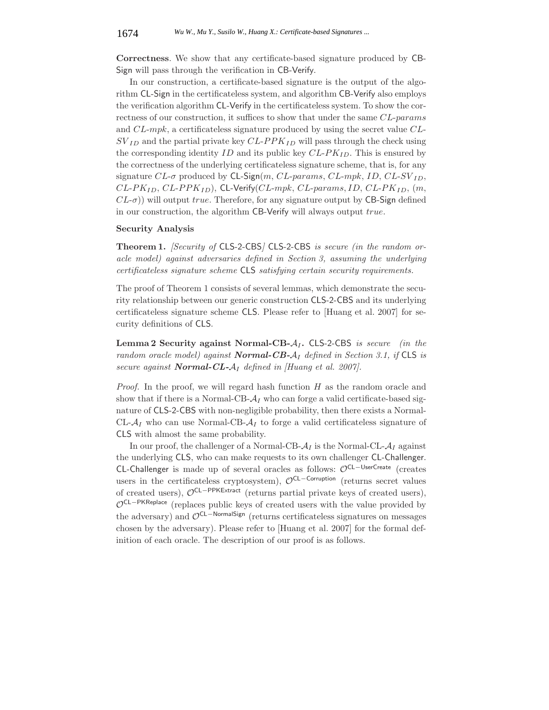**Correctness**. We show that any certificate-based signature produced by CB-Sign will pass through the verification in CB-Verify.

In our construction, a certificate-based signature is the output of the algorithm CL-Sign in the certificateless system, and algorithm CB-Verify also employs the verification algorithm CL-Verify in the certificateless system. To show the correctness of our construction, it suffices to show that under the same CL-params and CL-mpk, a certificateless signature produced by using the secret value CL- $SV_{ID}$  and the partial private key  $CL-PPK_{ID}$  will pass through the check using the corresponding identity ID and its public key CL-PK*ID*. This is ensured by the correctness of the underlying certificateless signature scheme, that is, for any signature  $CL$ - $\sigma$  produced by  $CL$ -Sign $(m, CL$ -params,  $CL$ -mpk,  $ID, CL$ -SV<sub>ID</sub>, CL-PK*ID*, CL-PPK*ID*), CL-Verify(CL-mpk, CL-params, ID, CL-PK*ID*, (m,  $CL-\sigma$ )) will output true. Therefore, for any signature output by CB-Sign defined in our construction, the algorithm CB-Verify will always output true.

#### **Security Analysis**

**Theorem 1.** *[Security of* CLS-2-CBS*]* CLS-2-CBS *is secure (in the random oracle model) against adversaries defined in Section 3, assuming the underlying certificateless signature scheme* CLS *satisfying certain security requirements.*

The proof of Theorem 1 consists of several lemmas, which demonstrate the security relationship between our generic construction CLS-2-CBS and its underlying certificateless signature scheme CLS. Please refer to [Huang et al. 2007] for security definitions of CLS.

**Lemma 2 Security against Normal-CB-**A*<sup>I</sup>* **.** CLS-2-CBS *is secure (in the random oracle model) against Normal-CB-*A*<sup>I</sup> defined in Section 3.1, if* CLS *is secure against Normal-CL-*A*<sup>I</sup> defined in [Huang et al. 2007].*

*Proof.* In the proof, we will regard hash function H as the random oracle and show that if there is a Normal-CB- $A_I$  who can forge a valid certificate-based signature of CLS-2-CBS with non-negligible probability, then there exists a Normal-CL- $A_I$  who can use Normal-CB- $A_I$  to forge a valid certificateless signature of CLS with almost the same probability.

In our proof, the challenger of a Normal-CB- $A_I$  is the Normal-CL- $A_I$  against the underlying CLS, who can make requests to its own challenger CL-Challenger. CL-Challenger is made up of several oracles as follows: OCL-UserCreate (creates users in the certificateless cryptosystem),  $\mathcal{O}^{CL-Corruption}$  (returns secret values of created users), OCL−PPKExtract (returns partial private keys of created users), OCL−PKReplace (replaces public keys of created users with the value provided by the adversary) and OCL−NormalSign (returns certificateless signatures on messages chosen by the adversary). Please refer to [Huang et al. 2007] for the formal definition of each oracle. The description of our proof is as follows.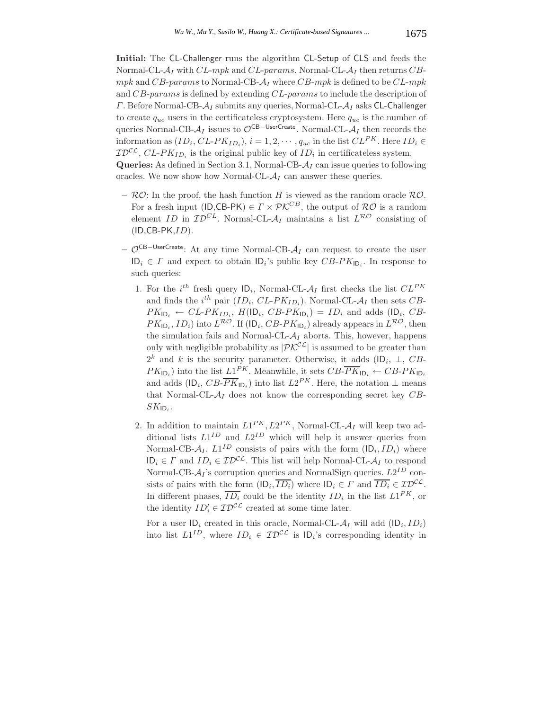**Initial:** The CL-Challenger runs the algorithm CL-Setup of CLS and feeds the Normal-CL-A*<sup>I</sup>* with CL-mpk and CL-params. Normal-CL-A*<sup>I</sup>* then returns CBmpk and  $CB$ -params to Normal-CB- $A_I$  where  $CB$ -mpk is defined to be  $CL$ -mpk and CB-params is defined by extending CL-params to include the description of <sup>Γ</sup>. Before Normal-CB-A*<sup>I</sup>* submits any queries, Normal-CL-A*<sup>I</sup>* asks CL-Challenger to create  $q_{uc}$  users in the certificateless cryptosystem. Here  $q_{uc}$  is the number of queries Normal-CB- $A_I$  issues to  $\mathcal{O}^{CB-UserCreate}$ . Normal-CL- $A_I$  then records the information as  $(ID_i, CL-PK_{ID_i}), i = 1, 2, \cdots, q_{uc}$  in the list  $CL^{PK}$ . Here  $ID_i \in$  $\mathcal{ID}^{\mathcal{CL}}, CL\text{-}PK_{ID_i}$  is the original public key of  $ID_i$  in certificateless system. **Queries:** As defined in Section 3.1, Normal-CB-A*<sup>I</sup>* can issue queries to following

oracles. We now show how Normal-CL- $A_I$  can answer these queries.

- $-$  RO: In the proof, the hash function H is viewed as the random oracle RO. For a fresh input (ID,CB-PK)  $\in \Gamma \times \mathcal{P} \mathcal{K}^{CB}$ , the output of  $\mathcal{RO}$  is a random element ID in  $\mathcal{ID}^{CL}$ . Normal-CL- $\mathcal{A}_I$  maintains a list  $L^{\mathcal{RO}}$  consisting of  $(ID, CB-PK, ID)$ .
- **–** OCB−UserCreate: At any time Normal-CB-A*<sup>I</sup>* can request to create the user  $ID_i \in \Gamma$  and expect to obtain  $ID_i$ 's public key  $CB-PK_{ID_i}$ . In response to such queries:
	- 1. For the *i*<sup>th</sup> fresh query  $|D_i|$ , Normal-CL- $A_I$  first checks the list  $CL^{PK}$ <br>and finds the *i*<sup>th</sup> nair (*LD*, *CL, BK*). Normal CL, 4, then sets *CR* and finds the  $i^{th}$  pair  $(ID_i, CL-PK_{ID_i})$ . Normal-CL- $\mathcal{A}_I$  then sets  $CB$ - $PK_{\text{ID}_i} \leftarrow CL-PK_{ID_i}$ ,  $H(\text{ID}_i, CB-PK_{\text{ID}_i}) = ID_i$  and adds (ID<sub>i</sub>, CB- $PK_{\mathsf{ID}_i}$ ,  $ID_i$ ) into  $L^{\mathcal{RO}}$ . If  $(\mathsf{ID}_i, CB\text{-}PK_{\mathsf{ID}_i})$  already appears in  $L^{\mathcal{RO}}$ , then the simulation fails and Normal-CL- $A_I$  aborts. This, however, happens only with negligible probability as  $|\mathcal{P} \mathcal{K}^{\mathcal{C} \mathcal{L}}|$  is assumed to be greater than  $2^k$  and k is the security parameter. Otherwise, it adds (ID<sub>i</sub>,  $\perp$ , CB- $PK_{\text{ID}_i}$ ) into the list  $L1^{PK}$ . Meanwhile, it sets  $CB\overline{PK}_{\text{ID}_i} \leftarrow CB\text{-}PK_{\text{ID}_i}$ and adds  $(\mathsf{ID}_i, CB\text{-}\overline{PK}_{|\mathsf{D}_i})$  into list  $L2^{PK}$ . Here, the notation  $\perp$  means that Normal-CL- $A_I$  does not know the corresponding secret key  $CB$ - $SK_{ID}$ .
	- 2. In addition to maintain  $L1^{PK}$ ,  $L2^{PK}$ , Normal-CL- $A_I$  will keep two additional lists  $L1^{ID}$  and  $L2^{ID}$  which will help it answer queries from Normal-CB- $A_I$ .  $L1^{ID}$  consists of pairs with the form  $\left(\mathsf{ID}_i, ID_i\right)$  where  $ID_i \in \Gamma$  and  $ID_i \in \mathcal{ID}^{CL}$ . This list will help Normal-CL- $\mathcal{A}_I$  to respond Normal-CB- $A<sub>I</sub>$ 's corruption queries and NormalSign queries.  $L2<sup>ID</sup>$  consists of pairs with the form  $(\mathsf{ID}_i, \overline{ID_i})$  where  $\mathsf{ID}_i \in \Gamma$  and  $\overline{ID_i} \in \mathcal{ID}^{\mathcal{CL}}$ . In different phases,  $\overline{ID_i}$  could be the identity  $ID_i$  in the list  $L1^{PK}$ , or the identity  $ID'_i \in \mathcal{ID}^{\mathcal{CL}}$  created at some time later.

For a user  $ID_i$  created in this oracle, Normal-CL- $A_I$  will add  $(ID_i, ID_i)$ into list  $L1^{ID}$ , where  $ID_i \in \mathcal{ID}^{CL}$  is  $ID_i$ 's corresponding identity in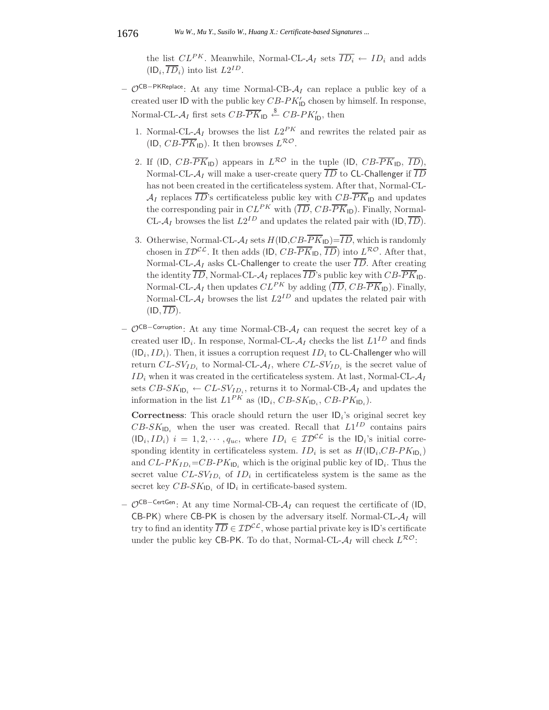the list  $CL^{PK}$ . Meanwhile, Normal-CL- $\mathcal{A}_I$  sets  $\overline{ID_i} \leftarrow ID_i$  and adds  $(ID_i, \overline{ID}_i)$  into list  $L2^{ID}$ .

- **–** OCB−PKReplace: At any time Normal-CB-A*<sup>I</sup>* can replace a public key of a created user ID with the public key  $CB-PK'_{1D}$  chosen by himself. In response, Normal-CL- $A_I$  first sets  $CB$ - $\overline{PK}_{\text{ID}}$   $\overset{\$}{\leftarrow} CB$ - $PK'_{\text{ID}}$ , then
	- 1. Normal-CL- $A_I$  browses the list  $L2^{PK}$  and rewrites the related pair as (ID,  $CB\overline{PK}_{\text{ID}}$ ). It then browses  $L^{\mathcal{RO}}$ .
	- 2. If (ID,  $CB\overline{PK}_{\text{ID}}$ ) appears in  $L^{\mathcal{RO}}$  in the tuple (ID,  $CB\overline{PK}_{\text{ID}}$ ,  $\overline{ID}$ ), Normal-CL- $A_I$  will make a user-create query  $\overline{ID}$  to CL-Challenger if  $\overline{ID}$ has not been created in the certificateless system. After that, Normal-CL- $\mathcal{A}_I$  replaces  $\overline{ID}$ 's certificateless public key with  $CB\overline{PK}_{\text{ID}}$  and updates the corresponding pair in  $CL^{PK}$  with  $(\overline{ID}, CB\text{-}PK_{\text{ID}})$ . Finally, Normal-CL- $A_I$  browses the list  $L2^{ID}$  and updates the related pair with  $(ID, \overline{ID})$ .
	- 3. Otherwise, Normal-CL- $A_I$  sets  $H(\mathsf{ID}, CB\text{-}PK_{\mathsf{ID}})=\overline{ID}$ , which is randomly chosen in  $\mathcal{ID}^{\mathcal{CL}}$ . It then adds (ID,  $CB\overline{PK}_{\mathsf{ID}}, \overline{ID}$ ) into  $L^{\mathcal{RO}}$ . After that, Normal-CL- $A_I$  asks CL-Challenger to create the user  $\overline{ID}$ . After creating the identity  $\overline{ID}$ , Normal-CL- $A_I$  replaces  $\overline{ID}$ 's public key with  $CB$ - $\overline{PK}_{\text{ID}}$ . Normal-CL- $A_I$  then updates  $CL^{PK}$  by adding  $(\overline{ID}, CB\text{-}PK_{\text{ID}})$ . Finally, Normal-CL- $A_I$  browses the list  $L2^{ID}$  and updates the related pair with  $(ID, \overline{ID}).$
- **–** OCB−Corruption: At any time Normal-CB-A*<sup>I</sup>* can request the secret key of a created user  $\mathsf{ID}_i$ . In response, Normal-CL- $\mathcal{A}_I$  checks the list  $L1^{ID}$  and finds  $(ID<sub>i</sub>, ID<sub>i</sub>)$ . Then, it issues a corruption request  $ID<sub>i</sub>$  to CL-Challenger who will return  $CL-SV_{ID_i}$  to Normal-CL- $A_I$ , where  $CL-SV_{ID_i}$  is the secret value of  $ID_i$  when it was created in the certificateless system. At last, Normal-CL- $A_I$ sets  $CB\text{-}SK_{\text{ID}_i} \leftarrow CL\text{-}SV_{ID_i}$ , returns it to Normal-CB- $\mathcal{A}_I$  and updates the information in the list  $L1^{PK}$  as  $(\mathsf{ID}_i, CB\text{-}SK_{\mathsf{ID}_i}, CB\text{-}PK_{\mathsf{ID}_i})$ .

**Correctness**: This oracle should return the user ID*<sup>i</sup>*'s original secret key  $CB-SK_{\text{ID}_i}$  when the user was created. Recall that  $L1^{ID}$  contains pairs  $(D_i, ID_i)$  i = 1, 2,  $\cdots$ ,  $q_{uc}$ , where  $ID_i \in \mathcal{ID}^{\mathcal{CL}}$  is the  $ID_i$ 's initial corresponding identity in certificateless system.  $ID_i$  is set as  $H(\mathsf{ID}_i, CB\text{-}PK_{\mathsf{ID}_i})$ and  $CL-PK_{ID_i}=CB-PK_{ID_i}$  which is the original public key of  $ID_i$ . Thus the secret value  $CL-SV_{ID_i}$  of  $ID_i$  in certificateless system is the same as the secret key  $CB-SK_{\text{ID}_i}$  of  $\text{ID}_i$  in certificate-based system.

**–** <sup>O</sup>CB−CertGen: At any time Normal-CB-A*<sup>I</sup>* can request the certificate of (ID,  $CB-PK$ ) where CB-PK is chosen by the adversary itself. Normal-CL- $A_I$  will try to find an identity  $\overline{ID} \in \mathcal{ID}^{\mathcal{CL}}$ , whose partial private key is ID's certificate under the public key CB-PK. To do that, Normal-CL- $A_I$  will check  $L^{RO}$ :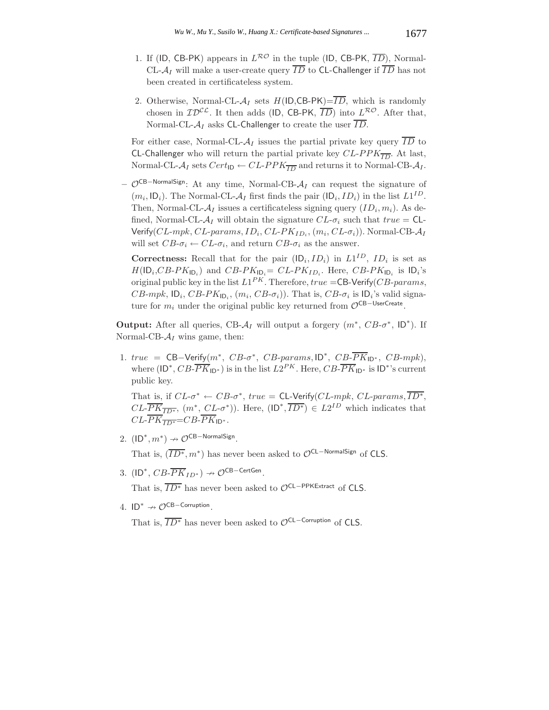- 1. If (ID, CB-PK) appears in  $L^{\mathcal{RO}}$  in the tuple (ID, CB-PK,  $\overline{ID}$ ), Normal-CL- $A_I$  will make a user-create query  $\overline{ID}$  to CL-Challenger if  $\overline{ID}$  has not been created in certificateless system.
- 2. Otherwise, Normal-CL- $A_I$  sets  $H(ID, CB-PK) = \overline{ID}$ , which is randomly chosen in  $\mathcal{ID}^{\mathcal{CL}}$ . It then adds (ID, CB-PK,  $\overline{ID}$ ) into  $L^{\mathcal{RO}}$ . After that, Normal-CL- $A_I$  asks CL-Challenger to create the user  $\overline{ID}$ .

For either case, Normal-CL- $A_I$  issues the partial private key query  $\overline{ID}$  to CL-Challenger who will return the partial private key  $CL-PPK_{\overline{ID}}$ . At last, Normal-CL- $A_I$  sets  $Cert_{ID} \leftarrow CL-PPK_{\overline{ID}}$  and returns it to Normal-CB- $A_I$ .

**–** OCB−NormalSign: At any time, Normal-CB-A*<sup>I</sup>* can request the signature of  $(m_i, \mathsf{ID}_i)$ . The Normal-CL- $\mathcal{A}_I$  first finds the pair  $(\mathsf{ID}_i, ID_i)$  in the list  $L1^{ID}$ . Then, Normal-CL- $A_I$  issues a certificateless signing query  $(ID_i, m_i)$ . As defined, Normal-CL- $\mathcal{A}_I$  will obtain the signature  $CL$ - $\sigma_i$  such that  $true = CL$ -Verify(CL-mpk, CL-params, ID*i*, CL-PK*ID<sup>i</sup>* , (m*i*, CL-σ*i*)). Normal-CB-A*<sup>I</sup>* will set  $CB$ - $\sigma_i \leftarrow CL$ - $\sigma_i$ , and return  $CB$ - $\sigma_i$  as the answer.

**Correctness:** Recall that for the pair  $(\mathsf{ID}_i, ID_i)$  in  $LI^{ID}$ ,  $ID_i$  is set as  $H(\mathsf{ID}_i, CB\text{-}PK_{\mathsf{ID}_i})$  and  $CB\text{-}PK_{\mathsf{ID}_i}= CL\text{-}PK_{ID_i}$ . Here,  $CB\text{-}PK_{\mathsf{ID}_i}$  is  $\mathsf{ID}_i$ 's original public key in the list  $L1^{PK}$ . Therefore,  $true =$ CB-Verify( $CB$ -params, CB-mpk,  $|D_i, CB\text{-}PK_{|D_i}, (m_i, CB\text{-}\sigma_i)|$ . That is,  $CB\text{-}\sigma_i$  is  $|D_i$ 's valid signature for  $m_i$  under the original public key returned from  $\mathcal{O}^{\mathsf{CB}-\mathsf{UserCreate}}$ .

**Output:** After all queries, CB- $A_I$  will output a forgery  $(m^*, CB\text{-}\sigma^*, ID^*)$ . If Normal-CB- $A_I$  wins game, then:

1. true =  $CB-Verify(m^*, CB- $\sigma^*$ , CB- $params$ , ID^*, CB- $\overline{PK}_{ID^*}$ , CB- $mpk$ ),$ where  $(\mathsf{ID}^*, CB\text{-}\overline{PK}_{\mathsf{ID}^*})$  is in the list  $L2^{PK}$ . Here,  $CB\text{-}\overline{PK}_{\mathsf{ID}^*}$  is  $\mathsf{ID}^*$ 's current public key.

That is, if  $CL-\sigma^* \leftarrow CB-\sigma^*$ , true = CL-Verify( $CL-mpk$ ,  $CL-params$ ,  $\overline{ID^*}$ ,  $CL\overline{PK}_{\overline{ID^*}}$ ,  $(m^*, CL\sigma^*)$ ). Here,  $(ID^*, \overline{ID^*}) \in L2^{ID}$  which indicates that  $CL$ - $\overline{PK}_{\overline{ID*}}$ = $CB$ - $\overline{PK}_{ID*}$ .

2.  $(\text{ID}^*, m^*) \rightarrow \mathcal{O}^{\text{CB-NormalSign}}$ .

That is,  $(\overline{ID^*}, m^*)$  has never been asked to  $\mathcal{O}^{CL-NormalSign}$  of CLS.

3.  $(ID^*, CB\text{-}\overline{PK}_{ID^*}) \rightarrow \mathcal{O}^{CB\text{-}{\sf CertGen}}$ .

That is,  $\overline{ID^*}$  has never been asked to  $\mathcal{O}^{CL-PPKExtract}}$  of CLS.

4.  $ID^* \nrightarrow \mathcal{O}^{CB-Corruption}$ .

That is,  $\overline{ID^*}$  has never been asked to  $\mathcal{O}^{CL-Corruption}$  of CLS.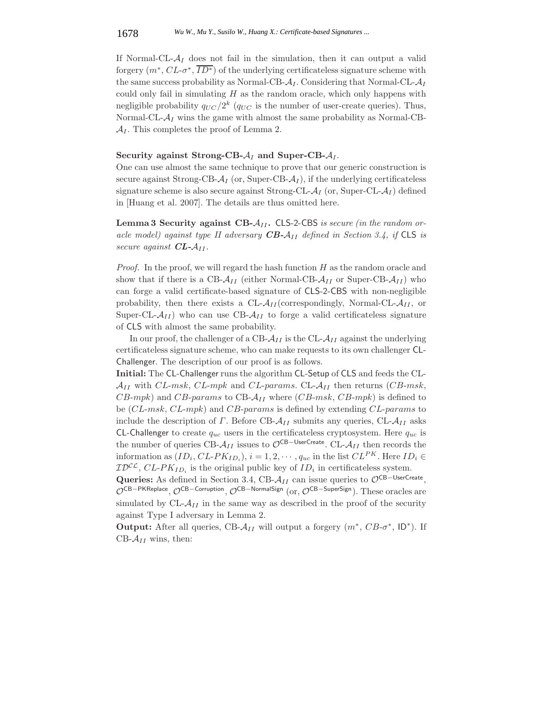#### 1678 *Wu W., Mu Y., Susilo W., Huang X.: Certificate-based Signatures ...*

If Normal-CL- $A_I$  does not fail in the simulation, then it can output a valid forgery  $(m^*, CL-\sigma^*, \overline{ID^*})$  of the underlying certificateless signature scheme with the same success probability as Normal-CB- $A_I$ . Considering that Normal-CL- $A_I$ could only fail in simulating  $H$  as the random oracle, which only happens with negligible probability  $q_{UC}/2^k$  ( $q_{UC}$  is the number of user-create queries). Thus, Normal-CL- $A_I$  wins the game with almost the same probability as Normal-CB- $\mathcal{A}_I$ . This completes the proof of Lemma 2.

#### **Security against Strong-CB-** $A_I$  **and Super-CB-** $A_I$ **.**

One can use almost the same technique to prove that our generic construction is secure against Strong-CB- $A_I$  (or, Super-CB- $A_I$ ), if the underlying certificateless signature scheme is also secure against Strong-CL- $A_I$  (or, Super-CL- $A_I$ ) defined in [Huang et al. 2007]. The details are thus omitted here.

**Lemma 3 Security against CB-**A*II* **.** CLS-2-CBS *is secure (in the random oracle model) against type II adversary CB-*A*II defined in Section 3.4, if* CLS *is secure against CL-*A*II .*

*Proof.* In the proof, we will regard the hash function  $H$  as the random oracle and show that if there is a CB- $A_{II}$  (either Normal-CB- $A_{II}$  or Super-CB- $A_{II}$ ) who can forge a valid certificate-based signature of CLS-2-CBS with non-negligible probability, then there exists a  $CL-\mathcal{A}_{II}$  (correspondingly, Normal-CL- $\mathcal{A}_{II}$ , or Super-CL- $A_{II}$ ) who can use CB- $A_{II}$  to forge a valid certificateless signature of CLS with almost the same probability.

In our proof, the challenger of a CB- $\mathcal{A}_{II}$  is the CL- $\mathcal{A}_{II}$  against the underlying certificateless signature scheme, who can make requests to its own challenger CL-Challenger. The description of our proof is as follows.

**Initial:** The CL-Challenger runs the algorithm CL-Setup of CLS and feeds the CL- $A_{II}$  with CL-msk, CL-mpk and CL-params. CL- $A_{II}$  then returns (CB-msk,  $CB\text{-}mpk$ ) and  $CB\text{-}params$  to  $CB\text{-}A_{II}$  where  $(CB\text{-}msk, CB\text{-}mpk)$  is defined to be (*CL-msk*, *CL-mpk*) and *CB-params* is defined by extending *CL-params* to include the description of  $\Gamma$ . Before CB- $\mathcal{A}_{II}$  submits any queries, CL- $\mathcal{A}_{II}$  asks CL-Challenger to create <sup>q</sup>*uc* users in the certificateless cryptosystem. Here <sup>q</sup>*uc* is the number of queries CB- $A_{II}$  issues to  $\mathcal{O}^{CB-UserCreate}$ . CL- $A_{II}$  then records the information as  $(ID_i, CL-PK_{ID_i}), i = 1, 2, \cdots, q_{uc}$  in the list  $CL^{PK}$ . Here  $ID_i \in$  $\mathcal{ID}^{\mathcal{CL}}, CL\text{-}PK_{ID_i}$  is the original public key of  $ID_i$  in certificateless system.

**Queries:** As defined in Section 3.4, CB- $A_{II}$  can issue queries to  $\mathcal{O}^{CB-UserCreate}$ , OCB−PKReplace, OCB−Corruption, OCB−NormalSign (or, OCB−SuperSign). These oracles are simulated by  $CL-\mathcal{A}_{II}$  in the same way as described in the proof of the security against Type I adversary in Lemma 2.

**Output:** After all queries, CB- $A_{II}$  will output a forgery  $(m^*, CB\text{-}\sigma^*, \mathsf{ID}^*)$ . If  $CB-\mathcal{A}_{II}$  wins, then: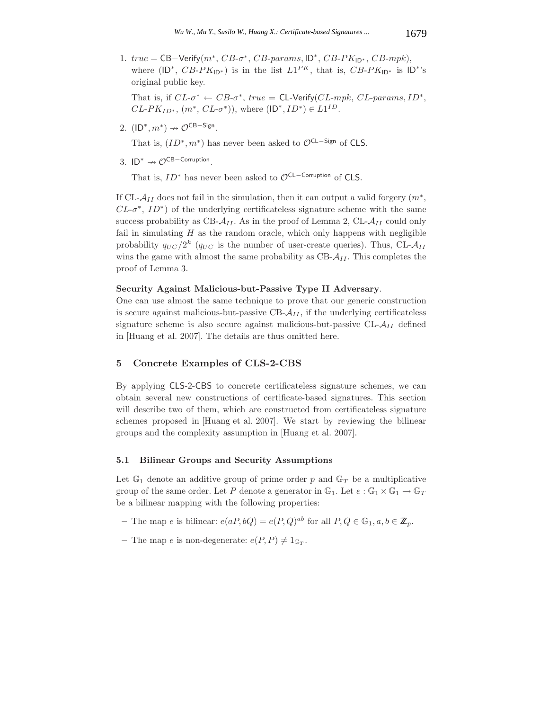1.  $true = CB-Verify(m^*, CB- $\sigma^*$ , CB- $pars$ , ID^*, CB-PK<sub>ID*</sub>, CB-mpk),$ where (ID<sup>\*</sup>, CB-PK<sub>ID<sup>\*</sup></sub>) is in the list  $LI^{PK}$ , that is, CB-PK<sub>ID<sup>\*</sup></sub> is ID<sup>\*</sup>'s original public key.

That is, if  $CL-\sigma^* \leftarrow CB-\sigma^*$ , true = CL-Verify( $CL-mpk$ ,  $CL-params$ ,  $ID^*$ ,  $CL-PK_{ID^*}, (m^*, CL-\sigma^*)),$  where  $(ID^*, ID^*) \in L1^{ID}.$ 

2.  $(\text{ID}^*, m^*) \nrightarrow \mathcal{O}^{\text{CB-Sign}}$ .

That is,  $(ID^*, m^*)$  has never been asked to  $\mathcal{O}^{CL-Sign}$  of CLS.

3.  $ID^* \nrightarrow \mathcal{O}^{CB-Corruption}$ .

That is,  $ID^*$  has never been asked to  $\mathcal{O}^{CL-Corruption}$  of CLS.

If CL- $A_{II}$  does not fail in the simulation, then it can output a valid forgery  $(m^*,$  $CL-<sub>\sigma</sub>$ <sup>\*</sup>,  $ID^*$ ) of the underlying certificateless signature scheme with the same success probability as  $CB - A_{II}$ . As in the proof of Lemma 2,  $CL - A_{II}$  could only fail in simulating  $H$  as the random oracle, which only happens with negligible probability  $q_{UC}/2^k$  ( $q_{UC}$  is the number of user-create queries). Thus, CL- $A_{II}$ wins the game with almost the same probability as  $CB - A_{II}$ . This completes the proof of Lemma 3.

#### **Security Against Malicious-but-Passive Type II Adversary**.

One can use almost the same technique to prove that our generic construction is secure against malicious-but-passive  $CB - A_{II}$ , if the underlying certificateless signature scheme is also secure against malicious-but-passive CL-A*II* defined in [Huang et al. 2007]. The details are thus omitted here.

## **5 Concrete Examples of CLS-2-CBS**

By applying CLS-2-CBS to concrete certificateless signature schemes, we can obtain several new constructions of certificate-based signatures. This section will describe two of them, which are constructed from certificateless signature schemes proposed in [Huang et al. 2007]. We start by reviewing the bilinear groups and the complexity assumption in [Huang et al. 2007].

#### **5.1 Bilinear Groups and Security Assumptions**

Let  $\mathbb{G}_1$  denote an additive group of prime order p and  $\mathbb{G}_T$  be a multiplicative group of the same order. Let P denote a generator in  $\mathbb{G}_1$ . Let  $e : \mathbb{G}_1 \times \mathbb{G}_1 \to \mathbb{G}_T$ be a bilinear mapping with the following properties:

- *−* The map *e* is bilinear:  $e(aP, bQ) = e(P, Q)^{ab}$  for all  $P, Q ∈ \mathbb{G}_1, a, b ∈ \mathbb{Z}_p$ .
- The map e is non-degenerate:  $e(P, P) \neq 1_{\mathbb{G}_T}$ .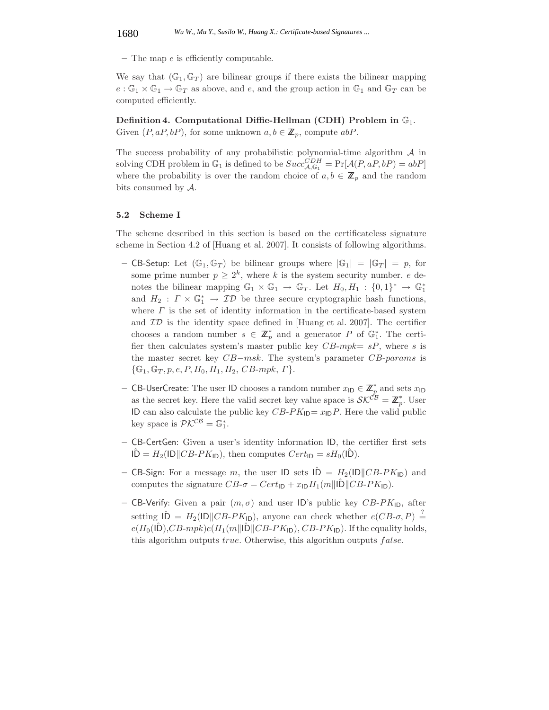**–** The map e is efficiently computable.

We say that  $(\mathbb{G}_1, \mathbb{G}_T)$  are bilinear groups if there exists the bilinear mapping  $e : \mathbb{G}_1 \times \mathbb{G}_1 \to \mathbb{G}_T$  as above, and e, and the group action in  $\mathbb{G}_1$  and  $\mathbb{G}_T$  can be computed efficiently.

**Definition 4. Computational Diffie-Hellman (CDH) Problem in**  $\mathbb{G}_1$ . Given  $(P, aP, bP)$ , for some unknown  $a, b \in \mathbb{Z}_p$ , compute  $abP$ .

The success probability of any probabilistic polynomial-time algorithm  $A$  in solving CDH problem in  $\mathbb{G}_1$  is defined to be  $Succ_{\mathcal{A},\mathbb{G}_1}^{CDH} = \Pr[\mathcal{A}(P,aP,bP) = abP]$ where the probability is over the random choice of  $a, b \in \mathbb{Z}_p$  and the random bits consumed by A.

#### **5.2 Scheme I**

The scheme described in this section is based on the certificateless signature scheme in Section 4.2 of [Huang et al. 2007]. It consists of following algorithms.

- **–** CB-Setup: Let  $(\mathbb{G}_1, \mathbb{G}_T)$  be bilinear groups where  $|\mathbb{G}_1| = |\mathbb{G}_T| = p$ , for some prime number  $p \geq 2^k$ , where k is the system security number. e denotes the bilinear mapping  $\mathbb{G}_1 \times \mathbb{G}_1 \to \mathbb{G}_T$ . Let  $H_0, H_1 : \{0,1\}^* \to \mathbb{G}_1^*$ and  $H_2: \Gamma \times \mathbb{G}_1^* \to \mathcal{ID}$  be three secure cryptographic hash functions, where  $\Gamma$  is the set of identity information in the certificate-based system and  $ID$  is the identity space defined in [Huang et al. 2007]. The certifier chooses a random number  $s \in \mathbb{Z}_p^*$  and a generator P of  $\mathbb{G}_1^*$ . The certi-<br>for then galaxies system's master public level  $CP$  and  $\sim P$  where a is fier then calculates system's master public key  $CB\text{-}mpk = sP$ , where s is the master secret key CB−msk. The system's parameter CB-params is  $\{\mathbb{G}_1, \mathbb{G}_T, p, e, P, H_0, H_1, H_2, CB\text{-}mpk, \Gamma\}.$
- **–** CB-UserCreate: The user ID chooses a random number  $x_{\text{ID}} \in \mathbb{Z}_p^*$  and sets  $x_{\text{ID}}$ <br>as the secret level House the valid secret level white space is  $S\mathcal{K}^{CB} \mathbb{Z}^*$ . Here as the secret key. Here the valid secret key value space is  $\mathcal{SK}^{CB} = \mathbb{Z}_p^*$ . User ID can also calculate the public key  $CB-PK_{\text{ID}}=x_{\text{ID}}P$ . Here the valid public key space is  $\mathcal{P} \mathcal{K}^{\mathcal{C} \mathcal{B}} = \mathbb{G}_1^*$ .
- **–** CB-CertGen: Given a user's identity information ID, the certifier first sets  $\hat{ID} = H_2(1D||CB-PK_{ID}),$  then computes  $Cert_{ID} = sH_0(1D).$
- **CB-Sign:** For a message m, the user  $ID$  sets  $I\hat{D} = H_2(ID||CB-PK_{ID})$  and computes the signature  $CB-\sigma = Cert_{\text{ID}}+x_{\text{ID}}H_1(m||\hat{\text{D}}||CB-PK_{\text{ID}}).$
- **CB-Verify:** Given a pair  $(m, \sigma)$  and user ID's public key CB-PK<sub>ID</sub>, after setting  $\hat{ID} = H_2(D||CB-PK_{ID})$ , anyone can check whether  $e(CB-\sigma, P) \stackrel{?}{=}$ <br> $e(H)(\hat{D}) CP \text{ with } (H(m||\hat{D}||CB-PK)) CP \text{ } PK$ . If the equality holds  $e(H_0(|\hat{\mathbf{D}}),CB\text{-}mpk)e(H_1(m||\hat{\mathbf{D}}||CB\text{-}PK_{\mathsf{ID}}), CB\text{-}PK_{\mathsf{ID}}).$  If the equality holds, this algorithm outputs *true*. Otherwise, this algorithm outputs *false*.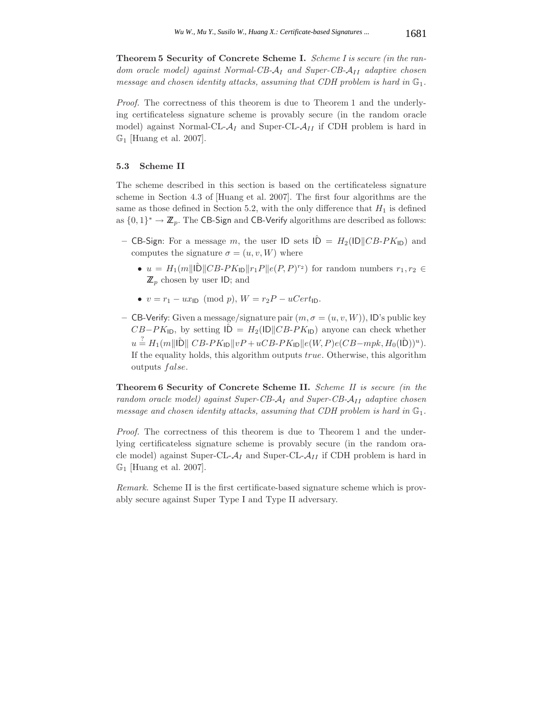**Theorem 5 Security of Concrete Scheme I.** *Scheme I is secure (in the random oracle model) against Normal-CB-*A*<sup>I</sup> and Super-CB-*A*II adaptive chosen message and chosen identity attacks, assuming that CDH problem is hard in*  $\mathbb{G}_1$ *.* 

*Proof.* The correctness of this theorem is due to Theorem 1 and the underlying certificateless signature scheme is provably secure (in the random oracle model) against Normal-CL- $A_I$  and Super-CL- $A_{II}$  if CDH problem is hard in  $\mathbb{G}_1$  [Huang et al. 2007].

## **5.3 Scheme II**

The scheme described in this section is based on the certificateless signature scheme in Section 4.3 of [Huang et al. 2007]. The first four algorithms are the same as those defined in Section 5.2, with the only difference that  $H_1$  is defined as  $\{0,1\}^* \to \mathbb{Z}_p$ . The CB-Sign and CB-Verify algorithms are described as follows:

- **CB-Sign:** For a message m, the user  $ID$  sets  $I\hat{D} = H_2(ID||CB-PK_{ID})$  and computes the signature  $\sigma = (u, v, W)$  where
	- $u = H_1(m||\hat{\mathbf{D}}||CB-PK_{\mathbf{D}}||r_1P||e(P,P)^{r_2})$  for random numbers  $r_1, r_2 \in$  $\mathbb{Z}_p$  chosen by user ID; and
	- $v = r_1 ux_{\text{ID}} \pmod{p}$ ,  $W = r_2P uCert_{\text{ID}}$ .
- **–** CB-Verify: Given a message/signature pair  $(m, \sigma = (u, v, W))$ , ID's public key  $CB-PK_{\text{ID}}$ , by setting  $\hat{ID} = H_2(\text{ID}||CB-PK_{\text{ID}})$  anyone can check whether  $u \stackrel{?}{=} H_1(m||\hat{\mathbf{D}}||\,C B\text{-}PK_{\mathbf{ID}}||vP+uCB\text{-}PK_{\mathbf{ID}}||e(W,P)e(CB\text{-}mpk, H_0(\hat{\mathbf{D}}))^u).$ <br>If the equality holds, this elecciton outputs true. Otherwise, this eleccitom If the equality holds, this algorithm outputs true. Otherwise, this algorithm outputs *false*.

**Theorem 6 Security of Concrete Scheme II.** *Scheme II is secure (in the random oracle model) against Super-CB-*A*<sup>I</sup> and Super-CB-*A*II adaptive chosen message and chosen identity attacks, assuming that CDH problem is hard in*  $\mathbb{G}_1$ *.* 

*Proof.* The correctness of this theorem is due to Theorem 1 and the underlying certificateless signature scheme is provably secure (in the random oracle model) against Super-CL- $A_I$  and Super-CL- $A_{II}$  if CDH problem is hard in  $\mathbb{G}_1$  [Huang et al. 2007].

*Remark.* Scheme II is the first certificate-based signature scheme which is provably secure against Super Type I and Type II adversary.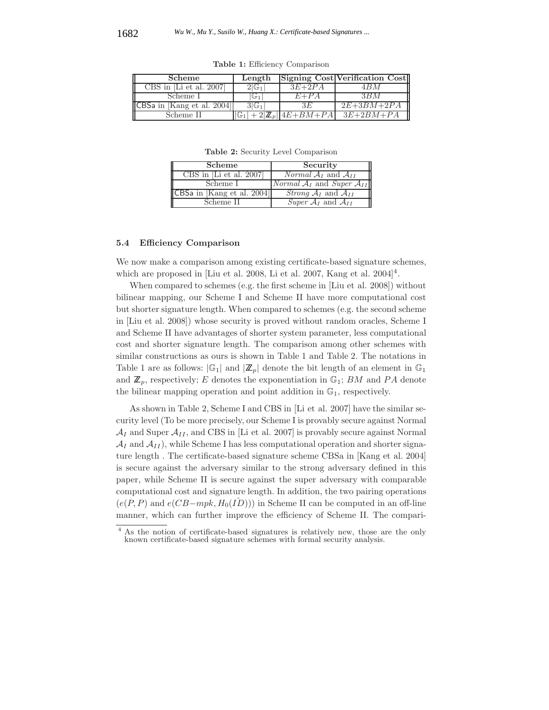| <b>Scheme</b>                 | Length |           | Signing Cost Verification Cost |
|-------------------------------|--------|-----------|--------------------------------|
| CBS in [Li et al. $2007$ ]    | ⊤ ⊤ ∪' | $3E+2PA$  | 4 R M                          |
| Scheme I                      | 1 تا 1 | $F + P A$ |                                |
| $ CBSa$ in [Kang et al. 2004] | 31 G1  | 3 E       | $2E+3BM+2PA$                   |
| Scheme II                     |        |           | $3E+2BM+PA$                    |

**Table 1:** Efficiency Comparison

**Table 2:** Security Level Comparison

| CBS in [Li et al. 2007]<br><i>Normal</i> $A_I$ and $A_{II}$<br>Scheme I<br>CBSa in [Kang et al. 2004]<br><i>Strong</i> $A_I$ and $A_{II}$<br><i>Super</i> $A_I$ and $A_{II}$<br>Scheme II | Scheme | Security                                      |
|-------------------------------------------------------------------------------------------------------------------------------------------------------------------------------------------|--------|-----------------------------------------------|
|                                                                                                                                                                                           |        |                                               |
|                                                                                                                                                                                           |        | <i>Normal</i> $A_I$ and <i>Super</i> $A_{II}$ |
|                                                                                                                                                                                           |        |                                               |
|                                                                                                                                                                                           |        |                                               |

#### **5.4 Efficiency Comparison**

We now make a comparison among existing certificate-based signature schemes, which are proposed in [Liu et al. 2008, Li et al. 2007, Kang et al.  $2004]^4$ .

When compared to schemes (e.g. the first scheme in [Liu et al. 2008]) without bilinear mapping, our Scheme I and Scheme II have more computational cost but shorter signature length. When compared to schemes (e.g. the second scheme in [Liu et al. 2008]) whose security is proved without random oracles, Scheme I and Scheme II have advantages of shorter system parameter, less computational cost and shorter signature length. The comparison among other schemes with similar constructions as ours is shown in Table 1 and Table 2. The notations in Table 1 are as follows:  $|\mathbb{G}_1|$  and  $|\mathbb{Z}_p|$  denote the bit length of an element in  $\mathbb{G}_1$ and  $\mathbb{Z}_p$ , respectively; E denotes the exponentiation in  $\mathbb{G}_1$ ; BM and PA denote the bilinear mapping operation and point addition in  $\mathbb{G}_1$ , respectively.

As shown in Table 2, Scheme I and CBS in [Li et al. 2007] have the similar security level (To be more precisely, our Scheme I is provably secure against Normal  $A_I$  and Super  $A_{II}$ , and CBS in [Li et al. 2007] is provably secure against Normal  $\mathcal{A}_I$  and  $\mathcal{A}_{II}$ ), while Scheme I has less computational operation and shorter signature length . The certificate-based signature scheme CBSa in [Kang et al. 2004] is secure against the adversary similar to the strong adversary defined in this paper, while Scheme II is secure against the super adversary with comparable computational cost and signature length. In addition, the two pairing operations  $(e(P, P)$  and  $e(CB-mpk, H_0(ID)))$  in Scheme II can be computed in an off-line manner, which can further improve the efficiency of Scheme II. The compari-

<sup>4</sup> As the notion of certificate-based signatures is relatively new, those are the only known certificate-based signature schemes with formal security analysis.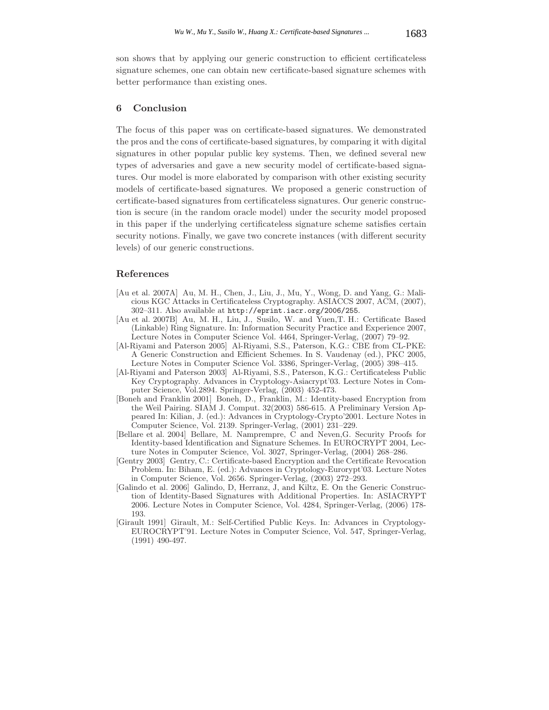son shows that by applying our generic construction to efficient certificateless signature schemes, one can obtain new certificate-based signature schemes with better performance than existing ones.

## **6 Conclusion**

The focus of this paper was on certificate-based signatures. We demonstrated the pros and the cons of certificate-based signatures, by comparing it with digital signatures in other popular public key systems. Then, we defined several new types of adversaries and gave a new security model of certificate-based signatures. Our model is more elaborated by comparison with other existing security models of certificate-based signatures. We proposed a generic construction of certificate-based signatures from certificateless signatures. Our generic construction is secure (in the random oracle model) under the security model proposed in this paper if the underlying certificateless signature scheme satisfies certain security notions. Finally, we gave two concrete instances (with different security levels) of our generic constructions.

## **References**

- [Au et al. 2007A] Au, M. H., Chen, J., Liu, J., Mu, Y., Wong, D. and Yang, G.: Malicious KGC Attacks in Certificateless Cryptography. ASIACCS 2007, ACM, (2007), 302–311. Also available at http://eprint.iacr.org/2006/255.
- [Au et al. 2007B] Au, M. H., Liu, J., Susilo, W. and Yuen,T. H.: Certificate Based (Linkable) Ring Signature. In: Information Security Practice and Experience 2007, Lecture Notes in Computer Science Vol. 4464, Springer-Verlag, (2007) 79–92.
- [Al-Riyami and Paterson 2005] Al-Riyami, S.S., Paterson, K.G.: CBE from CL-PKE: A Generic Construction and Efficient Schemes. In S. Vaudenay (ed.), PKC 2005, Lecture Notes in Computer Science Vol. 3386, Springer-Verlag, (2005) 398–415.
- [Al-Riyami and Paterson 2003] Al-Riyami, S.S., Paterson, K.G.: Certificateless Public Key Cryptography. Advances in Cryptology-Asiacrypt'03. Lecture Notes in Computer Science, Vol.2894. Springer-Verlag, (2003) 452-473.
- [Boneh and Franklin 2001] Boneh, D., Franklin, M.: Identity-based Encryption from the Weil Pairing. SIAM J. Comput. 32(2003) 586-615. A Preliminary Version Appeared In: Kilian, J. (ed.): Advances in Cryptology-Crypto'2001. Lecture Notes in Computer Science, Vol. 2139. Springer-Verlag, (2001) 231–229.
- [Bellare et al. 2004] Bellare, M. Namprempre, C and Neven,G. Security Proofs for Identity-based Identification and Signature Schemes. In EUROCRYPT 2004, Lecture Notes in Computer Science, Vol. 3027, Springer-Verlag, (2004) 268–286.
- [Gentry 2003] Gentry, C.: Certificate-based Encryption and the Certificate Revocation Problem. In: Biham, E. (ed.): Advances in Cryptology-Eurorypt'03. Lecture Notes in Computer Science, Vol. 2656. Springer-Verlag, (2003) 272–293.
- [Galindo et al. 2006] Galindo, D, Herranz, J, and Kiltz, E. On the Generic Construction of Identity-Based Signatures with Additional Properties. In: ASIACRYPT 2006. Lecture Notes in Computer Science, Vol. 4284, Springer-Verlag, (2006) 178- 193.
- [Girault 1991] Girault, M.: Self-Certified Public Keys. In: Advances in Cryptology-EUROCRYPT'91. Lecture Notes in Computer Science, Vol. 547, Springer-Verlag, (1991) 490-497.